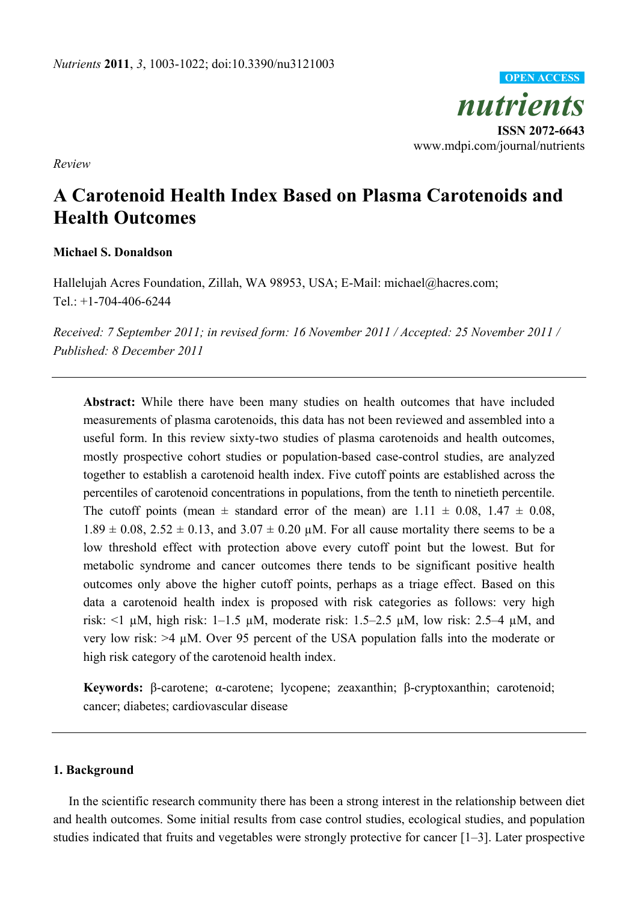

*Review* 

# **A Carotenoid Health Index Based on Plasma Carotenoids and Health Outcomes**

### **Michael S. Donaldson**

Hallelujah Acres Foundation, Zillah, WA 98953, USA; E-Mail: michael@hacres.com; Tel.: +1-704-406-6244

*Received: 7 September 2011; in revised form: 16 November 2011 / Accepted: 25 November 2011 / Published: 8 December 2011* 

**Abstract:** While there have been many studies on health outcomes that have included measurements of plasma carotenoids, this data has not been reviewed and assembled into a useful form. In this review sixty-two studies of plasma carotenoids and health outcomes, mostly prospective cohort studies or population-based case-control studies, are analyzed together to establish a carotenoid health index. Five cutoff points are established across the percentiles of carotenoid concentrations in populations, from the tenth to ninetieth percentile. The cutoff points (mean  $\pm$  standard error of the mean) are 1.11  $\pm$  0.08, 1.47  $\pm$  0.08,  $1.89 \pm 0.08$ ,  $2.52 \pm 0.13$ , and  $3.07 \pm 0.20$  µM. For all cause mortality there seems to be a low threshold effect with protection above every cutoff point but the lowest. But for metabolic syndrome and cancer outcomes there tends to be significant positive health outcomes only above the higher cutoff points, perhaps as a triage effect. Based on this data a carotenoid health index is proposed with risk categories as follows: very high risk:  $\leq 1$   $\mu$ M, high risk: 1–1.5  $\mu$ M, moderate risk: 1.5–2.5  $\mu$ M, low risk: 2.5–4  $\mu$ M, and very low risk: >4 µM. Over 95 percent of the USA population falls into the moderate or high risk category of the carotenoid health index.

**Keywords:** β-carotene; α-carotene; lycopene; zeaxanthin; β-cryptoxanthin; carotenoid; cancer; diabetes; cardiovascular disease

#### **1. Background**

In the scientific research community there has been a strong interest in the relationship between diet and health outcomes. Some initial results from case control studies, ecological studies, and population studies indicated that fruits and vegetables were strongly protective for cancer [1–3]. Later prospective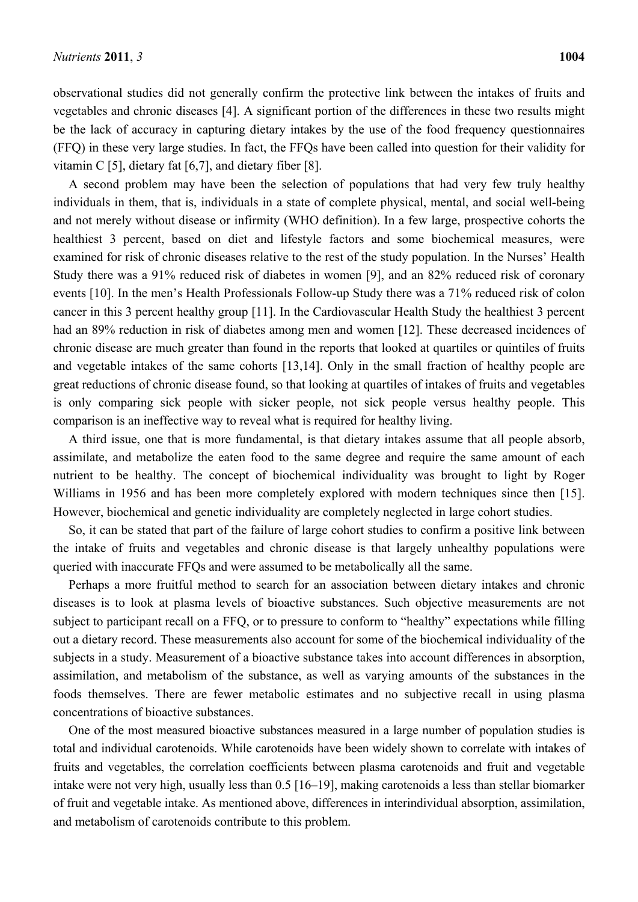observational studies did not generally confirm the protective link between the intakes of fruits and vegetables and chronic diseases [4]. A significant portion of the differences in these two results might be the lack of accuracy in capturing dietary intakes by the use of the food frequency questionnaires (FFQ) in these very large studies. In fact, the FFQs have been called into question for their validity for vitamin C [5], dietary fat [6,7], and dietary fiber [8].

A second problem may have been the selection of populations that had very few truly healthy individuals in them, that is, individuals in a state of complete physical, mental, and social well-being and not merely without disease or infirmity (WHO definition). In a few large, prospective cohorts the healthiest 3 percent, based on diet and lifestyle factors and some biochemical measures, were examined for risk of chronic diseases relative to the rest of the study population. In the Nurses' Health Study there was a 91% reduced risk of diabetes in women [9], and an 82% reduced risk of coronary events [10]. In the men's Health Professionals Follow-up Study there was a 71% reduced risk of colon cancer in this 3 percent healthy group [11]. In the Cardiovascular Health Study the healthiest 3 percent had an 89% reduction in risk of diabetes among men and women [12]. These decreased incidences of chronic disease are much greater than found in the reports that looked at quartiles or quintiles of fruits and vegetable intakes of the same cohorts [13,14]. Only in the small fraction of healthy people are great reductions of chronic disease found, so that looking at quartiles of intakes of fruits and vegetables is only comparing sick people with sicker people, not sick people versus healthy people. This comparison is an ineffective way to reveal what is required for healthy living.

A third issue, one that is more fundamental, is that dietary intakes assume that all people absorb, assimilate, and metabolize the eaten food to the same degree and require the same amount of each nutrient to be healthy. The concept of biochemical individuality was brought to light by Roger Williams in 1956 and has been more completely explored with modern techniques since then [15]. However, biochemical and genetic individuality are completely neglected in large cohort studies.

So, it can be stated that part of the failure of large cohort studies to confirm a positive link between the intake of fruits and vegetables and chronic disease is that largely unhealthy populations were queried with inaccurate FFQs and were assumed to be metabolically all the same.

Perhaps a more fruitful method to search for an association between dietary intakes and chronic diseases is to look at plasma levels of bioactive substances. Such objective measurements are not subject to participant recall on a FFQ, or to pressure to conform to "healthy" expectations while filling out a dietary record. These measurements also account for some of the biochemical individuality of the subjects in a study. Measurement of a bioactive substance takes into account differences in absorption, assimilation, and metabolism of the substance, as well as varying amounts of the substances in the foods themselves. There are fewer metabolic estimates and no subjective recall in using plasma concentrations of bioactive substances.

One of the most measured bioactive substances measured in a large number of population studies is total and individual carotenoids. While carotenoids have been widely shown to correlate with intakes of fruits and vegetables, the correlation coefficients between plasma carotenoids and fruit and vegetable intake were not very high, usually less than 0.5 [16–19], making carotenoids a less than stellar biomarker of fruit and vegetable intake. As mentioned above, differences in interindividual absorption, assimilation, and metabolism of carotenoids contribute to this problem.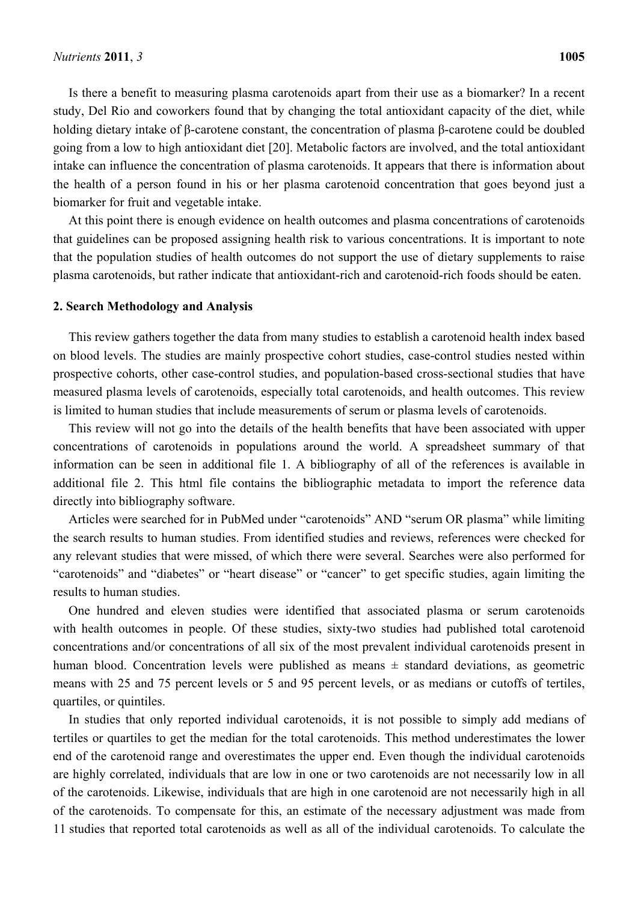Is there a benefit to measuring plasma carotenoids apart from their use as a biomarker? In a recent study, Del Rio and coworkers found that by changing the total antioxidant capacity of the diet, while holding dietary intake of β-carotene constant, the concentration of plasma β-carotene could be doubled going from a low to high antioxidant diet [20]. Metabolic factors are involved, and the total antioxidant intake can influence the concentration of plasma carotenoids. It appears that there is information about the health of a person found in his or her plasma carotenoid concentration that goes beyond just a biomarker for fruit and vegetable intake.

At this point there is enough evidence on health outcomes and plasma concentrations of carotenoids that guidelines can be proposed assigning health risk to various concentrations. It is important to note that the population studies of health outcomes do not support the use of dietary supplements to raise plasma carotenoids, but rather indicate that antioxidant-rich and carotenoid-rich foods should be eaten.

#### **2. Search Methodology and Analysis**

This review gathers together the data from many studies to establish a carotenoid health index based on blood levels. The studies are mainly prospective cohort studies, case-control studies nested within prospective cohorts, other case-control studies, and population-based cross-sectional studies that have measured plasma levels of carotenoids, especially total carotenoids, and health outcomes. This review is limited to human studies that include measurements of serum or plasma levels of carotenoids.

This review will not go into the details of the health benefits that have been associated with upper concentrations of carotenoids in populations around the world. A spreadsheet summary of that information can be seen in additional file 1. A bibliography of all of the references is available in additional file 2. This html file contains the bibliographic metadata to import the reference data directly into bibliography software.

Articles were searched for in PubMed under "carotenoids" AND "serum OR plasma" while limiting the search results to human studies. From identified studies and reviews, references were checked for any relevant studies that were missed, of which there were several. Searches were also performed for "carotenoids" and "diabetes" or "heart disease" or "cancer" to get specific studies, again limiting the results to human studies.

One hundred and eleven studies were identified that associated plasma or serum carotenoids with health outcomes in people. Of these studies, sixty-two studies had published total carotenoid concentrations and/or concentrations of all six of the most prevalent individual carotenoids present in human blood. Concentration levels were published as means  $\pm$  standard deviations, as geometric means with 25 and 75 percent levels or 5 and 95 percent levels, or as medians or cutoffs of tertiles, quartiles, or quintiles.

In studies that only reported individual carotenoids, it is not possible to simply add medians of tertiles or quartiles to get the median for the total carotenoids. This method underestimates the lower end of the carotenoid range and overestimates the upper end. Even though the individual carotenoids are highly correlated, individuals that are low in one or two carotenoids are not necessarily low in all of the carotenoids. Likewise, individuals that are high in one carotenoid are not necessarily high in all of the carotenoids. To compensate for this, an estimate of the necessary adjustment was made from 11 studies that reported total carotenoids as well as all of the individual carotenoids. To calculate the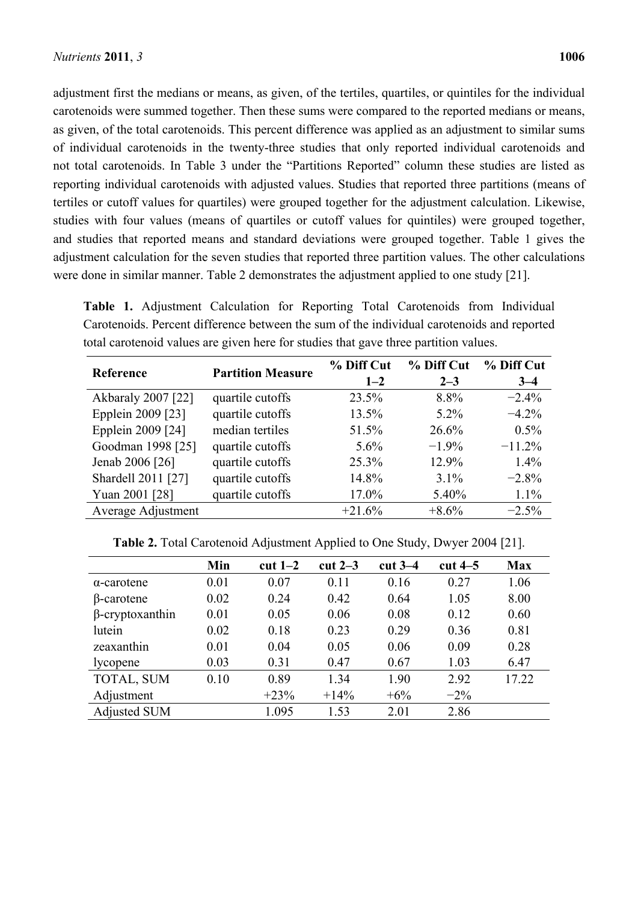adjustment first the medians or means, as given, of the tertiles, quartiles, or quintiles for the individual carotenoids were summed together. Then these sums were compared to the reported medians or means, as given, of the total carotenoids. This percent difference was applied as an adjustment to similar sums of individual carotenoids in the twenty-three studies that only reported individual carotenoids and not total carotenoids. In Table 3 under the "Partitions Reported" column these studies are listed as reporting individual carotenoids with adjusted values. Studies that reported three partitions (means of tertiles or cutoff values for quartiles) were grouped together for the adjustment calculation. Likewise, studies with four values (means of quartiles or cutoff values for quintiles) were grouped together, and studies that reported means and standard deviations were grouped together. Table 1 gives the adjustment calculation for the seven studies that reported three partition values. The other calculations were done in similar manner. Table 2 demonstrates the adjustment applied to one study [21].

**Table 1.** Adjustment Calculation for Reporting Total Carotenoids from Individual Carotenoids. Percent difference between the sum of the individual carotenoids and reported total carotenoid values are given here for studies that gave three partition values.

| Reference          | <b>Partition Measure</b> | % Diff Cut | % Diff Cut | % Diff Cut |
|--------------------|--------------------------|------------|------------|------------|
|                    |                          | $1 - 2$    | $2 - 3$    | $3 - 4$    |
| Akbaraly 2007 [22] | quartile cutoffs         | 23.5%      | 8.8%       | $-2.4%$    |
| Epplein 2009 [23]  | quartile cutoffs         | 13.5%      | $5.2\%$    | $-4.2%$    |
| Epplein 2009 [24]  | median tertiles          | 51.5%      | 26.6%      | $0.5\%$    |
| Goodman 1998 [25]  | quartile cutoffs         | $5.6\%$    | $-1.9%$    | $-11.2%$   |
| Jenab 2006 [26]    | quartile cutoffs         | 25.3%      | 12.9%      | 1.4%       |
| Shardell 2011 [27] | quartile cutoffs         | 14.8%      | 3.1%       | $-2.8\%$   |
| Yuan 2001 [28]     | quartile cutoffs         | 17.0%      | 5.40%      | $1.1\%$    |
| Average Adjustment |                          | $+21.6%$   | $+8.6%$    | $-2.5%$    |

**Table 2.** Total Carotenoid Adjustment Applied to One Study, Dwyer 2004 [21].

|                        | Min  | cut $1-2$ | cut $2-3$ | $cut 3-4$ | cut $4-5$ | <b>Max</b> |
|------------------------|------|-----------|-----------|-----------|-----------|------------|
| $\alpha$ -carotene     | 0.01 | 0.07      | 0.11      | 0.16      | 0.27      | 1.06       |
| $\beta$ -carotene      | 0.02 | 0.24      | 0.42      | 0.64      | 1.05      | 8.00       |
| $\beta$ -cryptoxanthin | 0.01 | 0.05      | 0.06      | 0.08      | 0.12      | 0.60       |
| lutein                 | 0.02 | 0.18      | 0.23      | 0.29      | 0.36      | 0.81       |
| zeaxanthin             | 0.01 | 0.04      | 0.05      | 0.06      | 0.09      | 0.28       |
| lycopene               | 0.03 | 0.31      | 0.47      | 0.67      | 1.03      | 6.47       |
| TOTAL, SUM             | 0.10 | 0.89      | 1.34      | 1.90      | 2.92      | 17.22      |
| Adjustment             |      | $+23%$    | $+14%$    | $+6\%$    | $-2\%$    |            |
| <b>Adjusted SUM</b>    |      | 1.095     | 1.53      | 2.01      | 2.86      |            |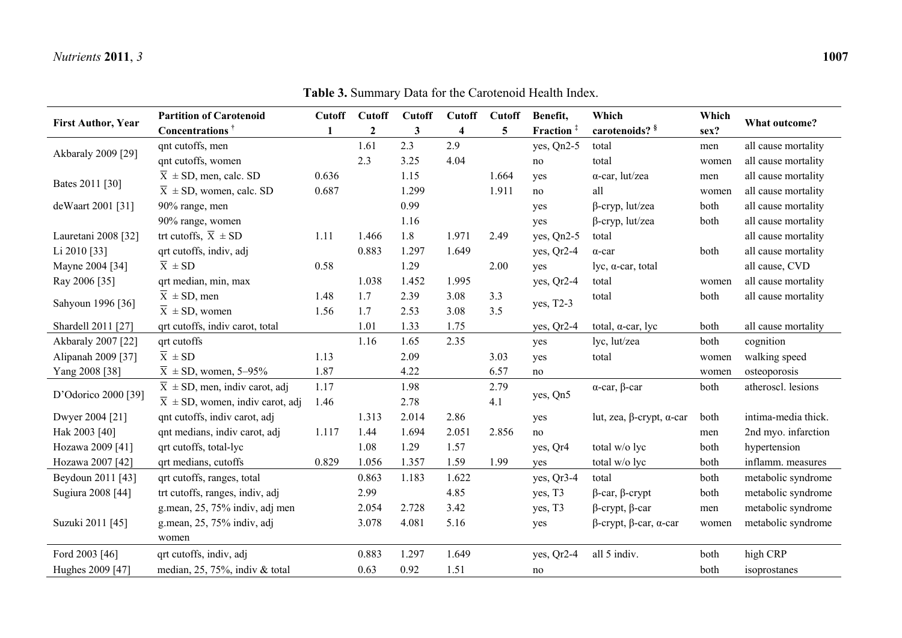## *Nutrients* **2011**, *3* **1007**

|                           | <b>Partition of Carotenoid</b>               | <b>Cutoff</b> | <b>Cutoff</b>    | <b>Cutoff</b> | Cutoff | Cutoff | Benefit,              | Which                        | Which |                     |
|---------------------------|----------------------------------------------|---------------|------------------|---------------|--------|--------|-----------------------|------------------------------|-------|---------------------|
| <b>First Author, Year</b> | Concentrations <sup>†</sup>                  | 1             | $\boldsymbol{2}$ | $\mathbf{3}$  | 4      | 5      | Fraction <sup>‡</sup> | carotenoids? §               | sex?  | What outcome?       |
| Akbaraly 2009 [29]        | qnt cutoffs, men                             |               | 1.61             | 2.3           | 2.9    |        | yes, Qn2-5            | total                        | men   | all cause mortality |
|                           | qnt cutoffs, women                           |               | 2.3              | 3.25          | 4.04   |        | $\rm no$              | total                        | women | all cause mortality |
|                           | $\overline{X}$ ± SD, men, calc. SD           | 0.636         |                  | 1.15          |        | 1.664  | yes                   | $\alpha$ -car, lut/zea       | men   | all cause mortality |
| Bates 2011 [30]           | $\overline{X}$ ± SD, women, calc. SD         | 0.687         |                  | 1.299         |        | 1.911  | no                    | all                          | women | all cause mortality |
| de Waart 2001 [31]        | 90% range, men                               |               |                  | 0.99          |        |        | yes                   | β-cryp, lut/zea              | both  | all cause mortality |
|                           | 90% range, women                             |               |                  | 1.16          |        |        | yes                   | $\beta$ -cryp, lut/zea       | both  | all cause mortality |
| Lauretani 2008 [32]       | trt cutoffs, $\overline{X} \pm SD$           | 1.11          | 1.466            | 1.8           | 1.971  | 2.49   | yes, Qn2-5            | total                        |       | all cause mortality |
| Li 2010 [33]              | qrt cutoffs, indiv, adj                      |               | 0.883            | 1.297         | 1.649  |        | yes, Qr2-4            | $\alpha$ -car                | both  | all cause mortality |
| Mayne 2004 [34]           | $\overline{X}$ ± SD                          | 0.58          |                  | 1.29          |        | 2.00   | yes                   | lyc, $\alpha$ -car, total    |       | all cause, CVD      |
| Ray 2006 [35]             | qrt median, min, max                         |               | 1.038            | 1.452         | 1.995  |        | yes, Qr2-4            | total                        | women | all cause mortality |
|                           | $\overline{X} \pm SD$ , men                  | 1.48          | 1.7              | 2.39          | 3.08   | 3.3    |                       | total                        | both  | all cause mortality |
| Sahyoun 1996 [36]         | $\overline{X} \pm SD$ , women                | 1.56          | 1.7              | 2.53          | 3.08   | 3.5    | yes, T2-3             |                              |       |                     |
| Shardell 2011 [27]        | qrt cutoffs, indiv carot, total              |               | 1.01             | 1.33          | 1.75   |        | yes, Qr2-4            | total, $\alpha$ -car, lyc    | both  | all cause mortality |
| Akbaraly 2007 [22]        | qrt cutoffs                                  |               | 1.16             | 1.65          | 2.35   |        | yes                   | lyc, lut/zea                 | both  | cognition           |
| Alipanah 2009 [37]        | $\overline{X}$ ± SD                          | 1.13          |                  | 2.09          |        | 3.03   | yes                   | total                        | women | walking speed       |
| Yang 2008 [38]            | $\overline{X}$ ± SD, women, 5–95%            | 1.87          |                  | 4.22          |        | 6.57   | no                    |                              | women | osteoporosis        |
|                           | $\overline{X}$ ± SD, men, indiv carot, adj   | 1.17          |                  | 1.98          |        | 2.79   |                       | $\alpha$ -car, $\beta$ -car  | both  | atheroscl. lesions  |
| D'Odorico 2000 [39]       | $\overline{X}$ ± SD, women, indiv carot, adj | 1.46          |                  | 2.78          |        | 4.1    | yes, Qn5              |                              |       |                     |
| Dwyer 2004 [21]           | qnt cutoffs, indiv carot, adj                |               | 1.313            | 2.014         | 2.86   |        | yes                   | lut, zea, β-crypt, $α$ -car  | both  | intima-media thick. |
| Hak 2003 [40]             | qnt medians, indiv carot, adj                | 1.117         | 1.44             | 1.694         | 2.051  | 2.856  | no                    |                              | men   | 2nd myo. infarction |
| Hozawa 2009 [41]          | qrt cutoffs, total-lyc                       |               | 1.08             | 1.29          | 1.57   |        | yes, Qr4              | total w/o lyc                | both  | hypertension        |
| Hozawa 2007 [42]          | qrt medians, cutoffs                         | 0.829         | 1.056            | 1.357         | 1.59   | 1.99   | yes                   | total w/o lyc                | both  | inflamm. measures   |
| Beydoun 2011 [43]         | qrt cutoffs, ranges, total                   |               | 0.863            | 1.183         | 1.622  |        | yes, Qr3-4            | total                        | both  | metabolic syndrome  |
| Sugiura 2008 [44]         | trt cutoffs, ranges, indiv, adj              |               | 2.99             |               | 4.85   |        | yes, T3               | $\beta$ -car, $\beta$ -crypt | both  | metabolic syndrome  |
|                           | g.mean, 25, 75% indiv, adj men               |               | 2.054            | 2.728         | 3.42   |        | yes, T3               | $\beta$ -crypt, $\beta$ -car | men   | metabolic syndrome  |
| Suzuki 2011 [45]          | g.mean, 25, 75% indiv, adj                   |               | 3.078            | 4.081         | 5.16   |        | yes                   | $β$ -crypt, $β$ -car, α-car  | women | metabolic syndrome  |
|                           | women                                        |               |                  |               |        |        |                       |                              |       |                     |
| Ford 2003 [46]            | qrt cutoffs, indiv, adj                      |               | 0.883            | 1.297         | 1.649  |        | yes, Qr2-4            | all 5 indiv.                 | both  | high CRP            |
| Hughes 2009 [47]          | median, 25, 75%, indiv & total               |               | 0.63             | 0.92          | 1.51   |        | no                    |                              | both  | isoprostanes        |

**Table 3.** Summary Data for the Carotenoid Health Index.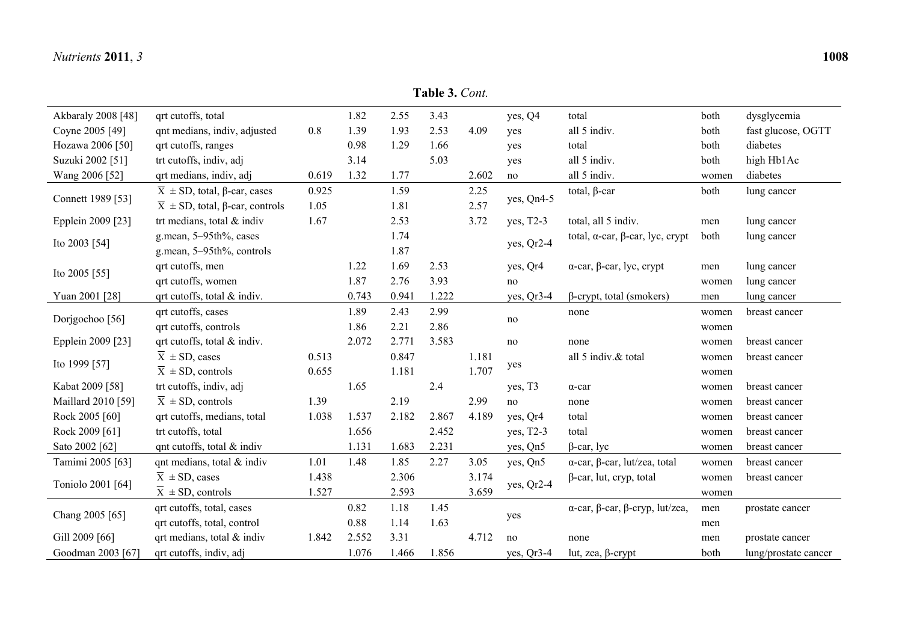**Table 3.** *Cont.*

| Akbaraly 2008 [48]         | qrt cutoffs, total                                    |       | 1.82  | 2.55  | 3.43  |       | yes, Q4             | total                                                | both  | dysglycemia          |
|----------------------------|-------------------------------------------------------|-------|-------|-------|-------|-------|---------------------|------------------------------------------------------|-------|----------------------|
| Coyne 2005 [49]            | qnt medians, indiv, adjusted                          | 0.8   | 1.39  | 1.93  | 2.53  | 4.09  | yes                 | all 5 indiv.                                         | both  | fast glucose, OGTT   |
| Hozawa 2006 [50]           | qrt cutoffs, ranges                                   |       | 0.98  | 1.29  | 1.66  |       | yes                 | total                                                | both  | diabetes             |
| Suzuki 2002 [51]           | trt cutoffs, indiv, adj                               |       | 3.14  |       | 5.03  |       | yes                 | all 5 indiv.                                         | both  | high Hb1Ac           |
| Wang 2006 [52]             | qrt medians, indiv, adj                               | 0.619 | 1.32  | 1.77  |       | 2.602 | no                  | all 5 indiv.                                         | women | diabetes             |
| Connett 1989 [53]          | $\overline{X} \pm SD$ , total, $\beta$ -car, cases    | 0.925 |       | 1.59  |       | 2.25  |                     | total, $\beta$ -car                                  | both  | lung cancer          |
|                            | $\overline{X} \pm SD$ , total, $\beta$ -car, controls | 1.05  |       | 1.81  |       | 2.57  | yes, Qn4-5          |                                                      |       |                      |
| Epplein 2009 [23]          | trt medians, total & indiv                            | 1.67  |       | 2.53  |       | 3.72  | yes, T2-3           | total, all 5 indiv.                                  | men   | lung cancer          |
|                            | g.mean, 5-95th%, cases                                |       |       | 1.74  |       |       |                     | total, $\alpha$ -car, $\beta$ -car, lyc, crypt       | both  | lung cancer          |
| Ito 2003 [54]              | g.mean, 5-95th%, controls                             |       |       | 1.87  |       |       | yes, Qr2-4          |                                                      |       |                      |
| Ito 2005 [55]              | qrt cutoffs, men                                      |       | 1.22  | 1.69  | 2.53  |       | yes, Qr4            | $\alpha$ -car, $\beta$ -car, lyc, crypt              | men   | lung cancer          |
|                            | qrt cutoffs, women                                    |       | 1.87  | 2.76  | 3.93  |       | no                  |                                                      | women | lung cancer          |
| Yuan 2001 [28]             | qrt cutoffs, total & indiv.                           |       | 0.743 | 0.941 | 1.222 |       | yes, Qr3-4          | $\beta$ -crypt, total (smokers)                      | men   | lung cancer          |
| Dorjgochoo <sup>[56]</sup> | qrt cutoffs, cases                                    |       | 1.89  | 2.43  | 2.99  |       |                     | none                                                 | women | breast cancer        |
|                            | qrt cutoffs, controls                                 |       | 1.86  | 2.21  | 2.86  |       | no                  |                                                      | women |                      |
| Epplein 2009 [23]          | qrt cutoffs, total & indiv.                           |       | 2.072 | 2.771 | 3.583 |       | no                  | none                                                 | women | breast cancer        |
|                            | $\overline{X}$ ± SD, cases                            | 0.513 |       | 0.847 |       | 1.181 |                     | all 5 indiv.& total                                  | women | breast cancer        |
| Ito 1999 [57]              | $\overline{X} \pm SD$ , controls                      | 0.655 |       | 1.181 |       | 1.707 | yes                 |                                                      | women |                      |
| Kabat 2009 [58]            | trt cutoffs, indiv, adj                               |       | 1.65  |       | 2.4   |       | yes, T <sub>3</sub> | $\alpha$ -car                                        | women | breast cancer        |
| Maillard 2010 [59]         | $\overline{X}$ ± SD, controls                         | 1.39  |       | 2.19  |       | 2.99  | no                  | none                                                 | women | breast cancer        |
| Rock 2005 [60]             | qrt cutoffs, medians, total                           | 1.038 | 1.537 | 2.182 | 2.867 | 4.189 | yes, Qr4            | total                                                | women | breast cancer        |
| Rock 2009 [61]             | trt cutoffs, total                                    |       | 1.656 |       | 2.452 |       | yes, T2-3           | total                                                | women | breast cancer        |
| Sato 2002 [62]             | qnt cutoffs, total & indiv                            |       | 1.131 | 1.683 | 2.231 |       | yes, Qn5            | $\beta$ -car, lyc                                    | women | breast cancer        |
| Tamimi 2005 [63]           | qnt medians, total & indiv                            | 1.01  | 1.48  | 1.85  | 2.27  | 3.05  | yes, Qn5            | $\alpha$ -car, $\beta$ -car, lut/zea, total          | women | breast cancer        |
|                            | $\overline{X}$ ± SD, cases                            | 1.438 |       | 2.306 |       | 3.174 |                     | $\beta$ -car, lut, cryp, total                       | women | breast cancer        |
| Toniolo 2001 [64]          | $\overline{X}$ ± SD, controls                         | 1.527 |       | 2.593 |       | 3.659 | yes, Qr2-4          |                                                      | women |                      |
|                            | qrt cutoffs, total, cases                             |       | 0.82  | 1.18  | 1.45  |       |                     | $\alpha$ -car, $\beta$ -car, $\beta$ -cryp, lut/zea, | men   | prostate cancer      |
| Chang 2005 [65]            | qrt cutoffs, total, control                           |       | 0.88  | 1.14  | 1.63  |       | yes                 |                                                      | men   |                      |
| Gill 2009 [66]             | qrt medians, total & indiv                            | 1.842 | 2.552 | 3.31  |       | 4.712 | no                  | none                                                 | men   | prostate cancer      |
| Goodman 2003 [67]          | qrt cutoffs, indiv, adj                               |       | 1.076 | 1.466 | 1.856 |       | yes, Qr3-4          | lut, zea, $\beta$ -crypt                             | both  | lung/prostate cancer |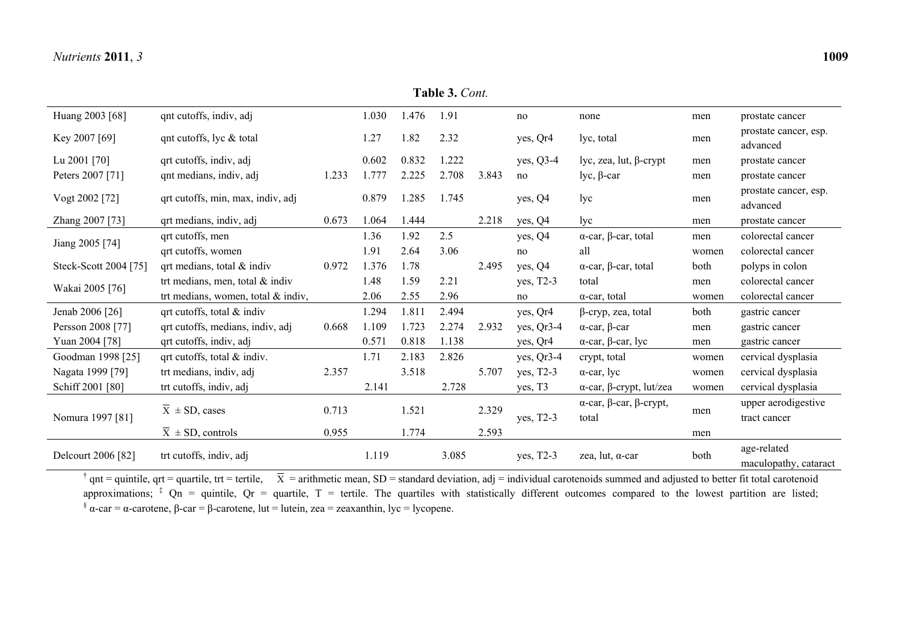Nomura 1997 [81]

| Table 3. Cont.   |                                   |      |       |       |       |       |             |                               |     |                                   |
|------------------|-----------------------------------|------|-------|-------|-------|-------|-------------|-------------------------------|-----|-----------------------------------|
| Huang 2003 [68]  | qnt cutoffs, indiv, adj           |      | 1.030 | .476  | 1.91  |       | no          | none                          | men | prostate cancer                   |
| Key 2007 [69]    | $q$ nt cutoffs, lyc & total       |      | l.27  | .82   | 2.32  |       | yes, Qr4    | lyc, total                    | men | prostate cancer, esp.<br>advanced |
| Lu 2001 [70]     | qrt cutoffs, indiv, adj           |      | 0.602 | 0.832 | 1.222 |       | yes, $Q3-4$ | lyc, zea, lut, $\beta$ -crypt | men | prostate cancer                   |
| Peters 2007 [71] | qnt medians, indiv, adj           | .233 | 777   | 2.225 | 2.708 | 3.843 | no          | lyc, $\beta$ -car             | men | prostate cancer                   |
| Vogt 2002 [72]   | qrt cutoffs, min, max, indiv, adj |      | 0.879 | .285  | .745  |       | yes, $Q4$   | lyc.                          | men | prostate cancer, esp.<br>advanced |

 $\begin{array}{cccc}\n\text{Jiang 2005 [74]} & \text{qrt cutoffs, men} \\
\text{qrt cutoffs, women} & \text{drougher} & \text{drougher} & \text{drougher} & \text{drougher} & \text{drougher} & \text{drougher} & \text{drougher} & \text{drougher} & \text{drougher} & \text{drougher} & \text{drougher} & \text{drougher} & \text{drougher} & \text{drougher} & \text{drougher} & \text{drougher} & \text{drougher} & \text{drougher} & \text{drhigher} & \text{drhigher} & \text{drhigher} & \text{drhigher}$ Steck-Scott 2004 [75] qrt medians, total & indiv 0.972 1.376 1.78 2.495 yes, Q4  $\alpha$ -car, β-car, total both polyps in colon trt medians, men, total & indiv and indivergial 1.48 1.59 2.21 yes, T2-3 total men colorectal cancer tredians, women, total & indiv, 2.06 2.55 2.96 no α-car, total women colorectal cancer Jenab 2006 [26] qrt cutoffs, total & indiv 1.294 1.811 2.494 yes, Qr4 β-cryp, zea, total both gastric cancer Persson 2008 [77] art cutoffs, medians, indiv, adj  $0.668$  1.109 1.723 2.274 2.932 yes, Or3-4 α-car, β-car men gastric cancer Yuan 2004 [78] qrt cutoffs, indiv, adj 0.571 0.818 1.138 yes, Qr4 <sup>α</sup>-car, β-car, lyc men gastric cancer Goodman 1998 [25] qrt cutoffs, total & indiv. 1.71 2.183 2.826 yes, Qr3-4 crypt, total women cervical dysplasia Nagata 1999 [79] trt medians, indiv, adj 2.357 3.518 5.707 yes, T2-3 α-car, lyc women cervical dysplasia Schiff 2001 [80] trt cutoffs, indiv, adj 2.141 2.728 yes, T3 α-car, β-crypt, lut/zea women cervical dysplasia  $X \pm SD$ , cases 0.713 1.521 2.329 yes, T2-3 <sup>α</sup>-car, β-car, β-crypt,  $\alpha$  cat,  $\rho$  cat,  $\rho$  crypt, men<br>total

Zhang 2007 [73] qrt medians, indiv, adj 0.673 1.064 1.444 2.218 yes, Q4 lyc men prostate cancer

<sup>†</sup> qnt = quintile, qrt = quartile, trt = tertile,  $\bar{X}$  = arithmetic mean, SD = standard deviation, adj = individual carotenoids summed and adjusted to better fit total carotenoid approximations:  $\frac{1}{2}$  On = quintile, Or = quartile, T = tertile. The quartiles with statistically different outcomes compared to the lowest partition are listed; § <sup>α</sup>-car = <sup>α</sup>-carotene, β-car = β-carotene, lut = lutein, zea = zeaxanthin, lyc = lycopene.

Delcourt 2006 [82] trt cutoffs, indiv, adj 1.119 3.085 yes, T2-3 zea, lut, α-car both age-related age-related age-related age-related age-related age-related age-related age-related age-related age-related age-related age

 $\overline{X}$   $\pm$  SD, controls 0.955 1.774 2.593 men

upper aerodigestive

tract cancer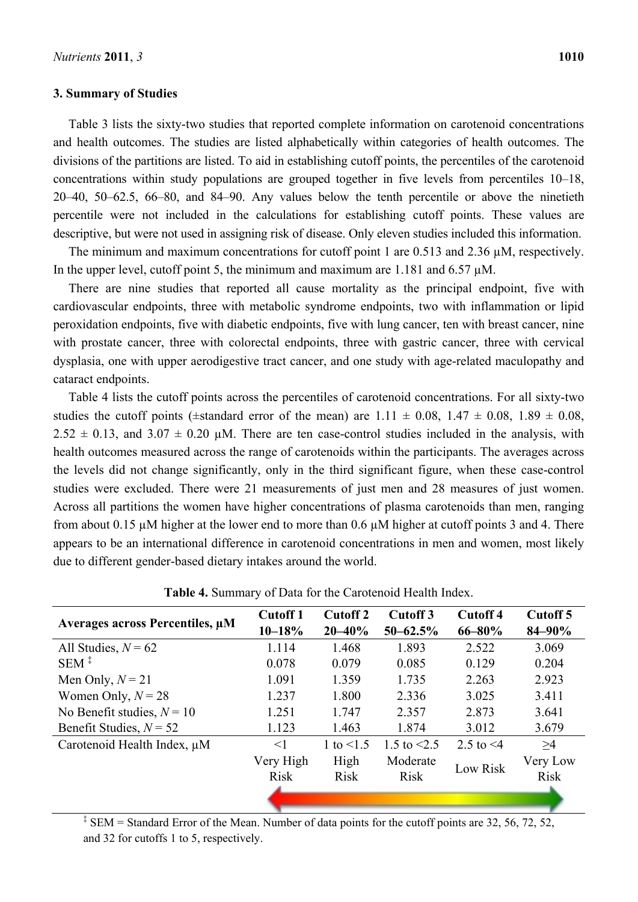#### **3. Summary of Studies**

Table 3 lists the sixty-two studies that reported complete information on carotenoid concentrations and health outcomes. The studies are listed alphabetically within categories of health outcomes. The divisions of the partitions are listed. To aid in establishing cutoff points, the percentiles of the carotenoid concentrations within study populations are grouped together in five levels from percentiles 10–18, 20–40, 50–62.5, 66–80, and 84–90. Any values below the tenth percentile or above the ninetieth percentile were not included in the calculations for establishing cutoff points. These values are descriptive, but were not used in assigning risk of disease. Only eleven studies included this information.

The minimum and maximum concentrations for cutoff point 1 are 0.513 and 2.36  $\mu$ M, respectively. In the upper level, cutoff point 5, the minimum and maximum are  $1.181$  and  $6.57 \mu M$ .

There are nine studies that reported all cause mortality as the principal endpoint, five with cardiovascular endpoints, three with metabolic syndrome endpoints, two with inflammation or lipid peroxidation endpoints, five with diabetic endpoints, five with lung cancer, ten with breast cancer, nine with prostate cancer, three with colorectal endpoints, three with gastric cancer, three with cervical dysplasia, one with upper aerodigestive tract cancer, and one study with age-related maculopathy and cataract endpoints.

Table 4 lists the cutoff points across the percentiles of carotenoid concentrations. For all sixty-two studies the cutoff points ( $\pm$ standard error of the mean) are  $1.11 \pm 0.08$ ,  $1.47 \pm 0.08$ ,  $1.89 \pm 0.08$ ,  $2.52 \pm 0.13$ , and  $3.07 \pm 0.20$  µM. There are ten case-control studies included in the analysis, with health outcomes measured across the range of carotenoids within the participants. The averages across the levels did not change significantly, only in the third significant figure, when these case-control studies were excluded. There were 21 measurements of just men and 28 measures of just women. Across all partitions the women have higher concentrations of plasma carotenoids than men, ranging from about 0.15 µM higher at the lower end to more than 0.6 µM higher at cutoff points 3 and 4. There appears to be an international difference in carotenoid concentrations in men and women, most likely due to different gender-based dietary intakes around the world.

| Averages across Percentiles, µM | <b>Cutoff 1</b> | <b>Cutoff 2</b> | <b>Cutoff 3</b>   | <b>Cutoff 4</b> | Cutoff 5    |
|---------------------------------|-----------------|-----------------|-------------------|-----------------|-------------|
|                                 | $10 - 18%$      | $20 - 40%$      | $50 - 62.5\%$     | 66-80%          | 84-90%      |
| All Studies, $N = 62$           | 1.114           | 1.468           | 1.893             | 2.522           | 3.069       |
| $SEM^{\ddagger}$                | 0.078           | 0.079           | 0.085             | 0.129           | 0.204       |
| Men Only, $N = 21$              | 1.091           | 1.359           | 1.735             | 2.263           | 2.923       |
| Women Only, $N = 28$            | 1.237           | 1.800           | 2.336             | 3.025           | 3.411       |
| No Benefit studies, $N = 10$    | 1.251           | 1.747           | 2.357             | 2.873           | 3.641       |
| Benefit Studies, $N = 52$       | 1.123           | 1.463           | 1.874             | 3.012           | 3.679       |
| Carotenoid Health Index, µM     | $\leq$ 1        | 1 to $\leq 1.5$ | 1.5 to $\leq$ 2.5 | 2.5 to $\leq 4$ | >4          |
|                                 | Very High       | High            | Moderate          | Low Risk        | Very Low    |
|                                 | <b>Risk</b>     | <b>Risk</b>     | <b>Risk</b>       |                 | <b>Risk</b> |
|                                 |                 |                 |                   |                 |             |
|                                 |                 |                 |                   |                 |             |

**Table 4.** Summary of Data for the Carotenoid Health Index.

<sup>‡</sup> SEM = Standard Error of the Mean. Number of data points for the cutoff points are 32, 56, 72, 52, and 32 for cutoffs 1 to 5, respectively.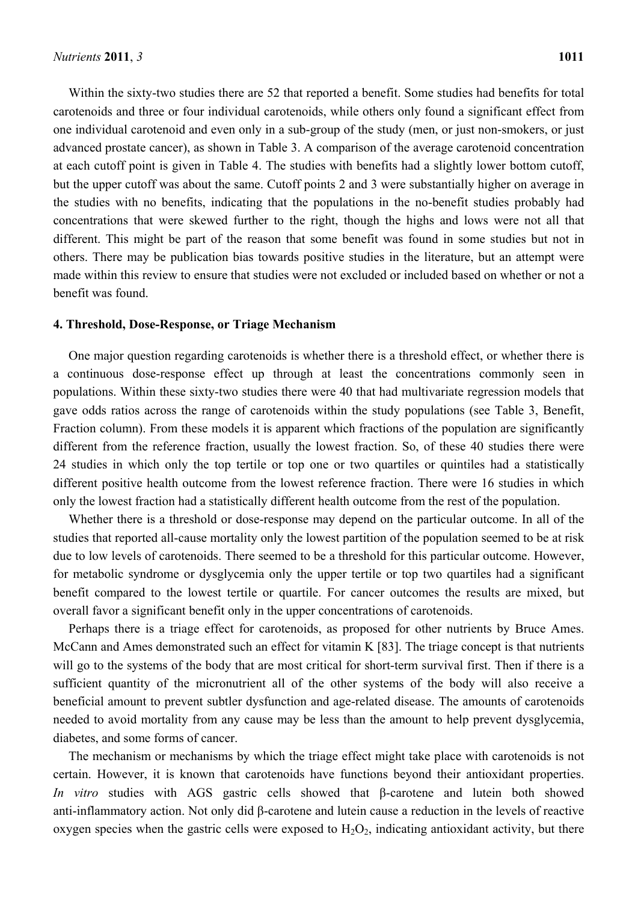Within the sixty-two studies there are 52 that reported a benefit. Some studies had benefits for total carotenoids and three or four individual carotenoids, while others only found a significant effect from one individual carotenoid and even only in a sub-group of the study (men, or just non-smokers, or just advanced prostate cancer), as shown in Table 3. A comparison of the average carotenoid concentration at each cutoff point is given in Table 4. The studies with benefits had a slightly lower bottom cutoff, but the upper cutoff was about the same. Cutoff points 2 and 3 were substantially higher on average in the studies with no benefits, indicating that the populations in the no-benefit studies probably had concentrations that were skewed further to the right, though the highs and lows were not all that different. This might be part of the reason that some benefit was found in some studies but not in others. There may be publication bias towards positive studies in the literature, but an attempt were made within this review to ensure that studies were not excluded or included based on whether or not a benefit was found.

#### **4. Threshold, Dose-Response, or Triage Mechanism**

One major question regarding carotenoids is whether there is a threshold effect, or whether there is a continuous dose-response effect up through at least the concentrations commonly seen in populations. Within these sixty-two studies there were 40 that had multivariate regression models that gave odds ratios across the range of carotenoids within the study populations (see Table 3, Benefit, Fraction column). From these models it is apparent which fractions of the population are significantly different from the reference fraction, usually the lowest fraction. So, of these 40 studies there were 24 studies in which only the top tertile or top one or two quartiles or quintiles had a statistically different positive health outcome from the lowest reference fraction. There were 16 studies in which only the lowest fraction had a statistically different health outcome from the rest of the population.

Whether there is a threshold or dose-response may depend on the particular outcome. In all of the studies that reported all-cause mortality only the lowest partition of the population seemed to be at risk due to low levels of carotenoids. There seemed to be a threshold for this particular outcome. However, for metabolic syndrome or dysglycemia only the upper tertile or top two quartiles had a significant benefit compared to the lowest tertile or quartile. For cancer outcomes the results are mixed, but overall favor a significant benefit only in the upper concentrations of carotenoids.

Perhaps there is a triage effect for carotenoids, as proposed for other nutrients by Bruce Ames. McCann and Ames demonstrated such an effect for vitamin K [83]. The triage concept is that nutrients will go to the systems of the body that are most critical for short-term survival first. Then if there is a sufficient quantity of the micronutrient all of the other systems of the body will also receive a beneficial amount to prevent subtler dysfunction and age-related disease. The amounts of carotenoids needed to avoid mortality from any cause may be less than the amount to help prevent dysglycemia, diabetes, and some forms of cancer.

The mechanism or mechanisms by which the triage effect might take place with carotenoids is not certain. However, it is known that carotenoids have functions beyond their antioxidant properties. *In vitro* studies with AGS gastric cells showed that β-carotene and lutein both showed anti-inflammatory action. Not only did β-carotene and lutein cause a reduction in the levels of reactive oxygen species when the gastric cells were exposed to  $H_2O_2$ , indicating antioxidant activity, but there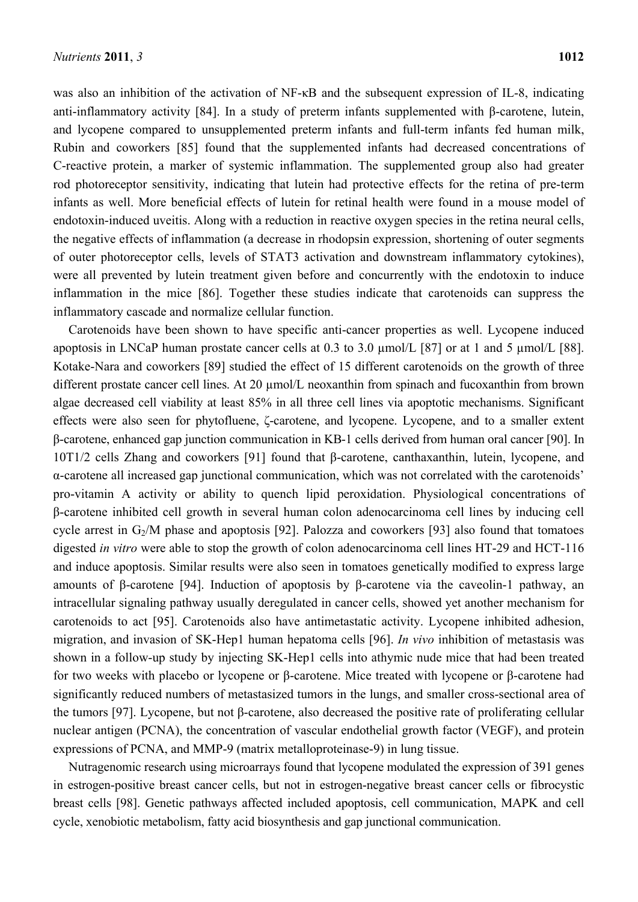was also an inhibition of the activation of NF-κB and the subsequent expression of IL-8, indicating anti-inflammatory activity [84]. In a study of preterm infants supplemented with β-carotene, lutein, and lycopene compared to unsupplemented preterm infants and full-term infants fed human milk, Rubin and coworkers [85] found that the supplemented infants had decreased concentrations of C-reactive protein, a marker of systemic inflammation. The supplemented group also had greater rod photoreceptor sensitivity, indicating that lutein had protective effects for the retina of pre-term infants as well. More beneficial effects of lutein for retinal health were found in a mouse model of endotoxin-induced uveitis. Along with a reduction in reactive oxygen species in the retina neural cells, the negative effects of inflammation (a decrease in rhodopsin expression, shortening of outer segments of outer photoreceptor cells, levels of STAT3 activation and downstream inflammatory cytokines), were all prevented by lutein treatment given before and concurrently with the endotoxin to induce inflammation in the mice [86]. Together these studies indicate that carotenoids can suppress the inflammatory cascade and normalize cellular function.

Carotenoids have been shown to have specific anti-cancer properties as well. Lycopene induced apoptosis in LNCaP human prostate cancer cells at 0.3 to 3.0 µmol/L [87] or at 1 and 5 µmol/L [88]. Kotake-Nara and coworkers [89] studied the effect of 15 different carotenoids on the growth of three different prostate cancer cell lines. At 20  $\mu$ mol/L neoxanthin from spinach and fucoxanthin from brown algae decreased cell viability at least 85% in all three cell lines via apoptotic mechanisms. Significant effects were also seen for phytofluene, ζ-carotene, and lycopene. Lycopene, and to a smaller extent β-carotene, enhanced gap junction communication in KB-1 cells derived from human oral cancer [90]. In 10T1/2 cells Zhang and coworkers [91] found that β-carotene, canthaxanthin, lutein, lycopene, and α-carotene all increased gap junctional communication, which was not correlated with the carotenoids' pro-vitamin A activity or ability to quench lipid peroxidation. Physiological concentrations of β-carotene inhibited cell growth in several human colon adenocarcinoma cell lines by inducing cell cycle arrest in  $G_2/M$  phase and apoptosis [92]. Palozza and coworkers [93] also found that tomatoes digested *in vitro* were able to stop the growth of colon adenocarcinoma cell lines HT-29 and HCT-116 and induce apoptosis. Similar results were also seen in tomatoes genetically modified to express large amounts of β-carotene [94]. Induction of apoptosis by β-carotene via the caveolin-1 pathway, an intracellular signaling pathway usually deregulated in cancer cells, showed yet another mechanism for carotenoids to act [95]. Carotenoids also have antimetastatic activity. Lycopene inhibited adhesion, migration, and invasion of SK-Hep1 human hepatoma cells [96]. *In vivo* inhibition of metastasis was shown in a follow-up study by injecting SK-Hep1 cells into athymic nude mice that had been treated for two weeks with placebo or lycopene or β-carotene. Mice treated with lycopene or β-carotene had significantly reduced numbers of metastasized tumors in the lungs, and smaller cross-sectional area of the tumors [97]. Lycopene, but not β-carotene, also decreased the positive rate of proliferating cellular nuclear antigen (PCNA), the concentration of vascular endothelial growth factor (VEGF), and protein expressions of PCNA, and MMP-9 (matrix metalloproteinase-9) in lung tissue.

Nutragenomic research using microarrays found that lycopene modulated the expression of 391 genes in estrogen-positive breast cancer cells, but not in estrogen-negative breast cancer cells or fibrocystic breast cells [98]. Genetic pathways affected included apoptosis, cell communication, MAPK and cell cycle, xenobiotic metabolism, fatty acid biosynthesis and gap junctional communication.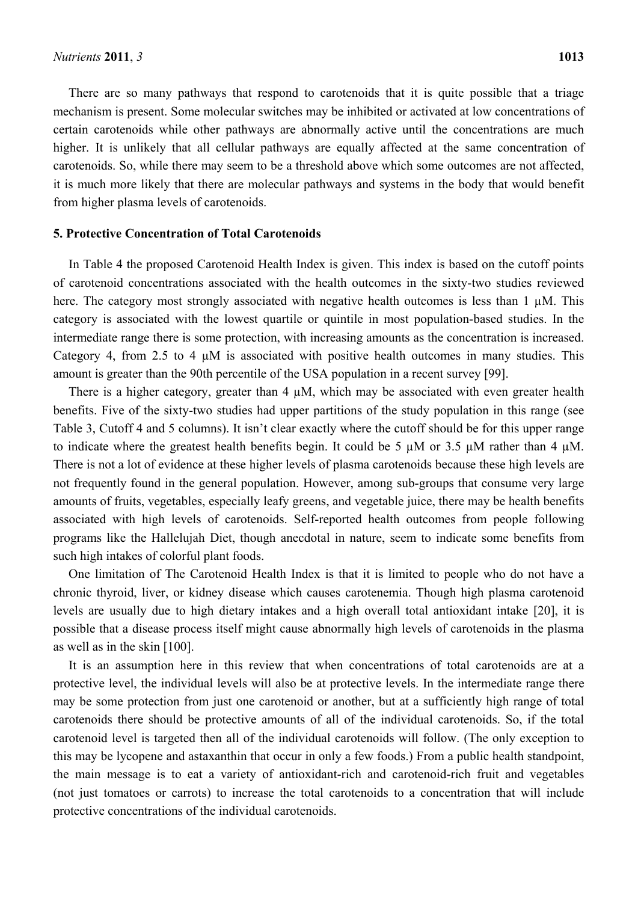There are so many pathways that respond to carotenoids that it is quite possible that a triage mechanism is present. Some molecular switches may be inhibited or activated at low concentrations of certain carotenoids while other pathways are abnormally active until the concentrations are much higher. It is unlikely that all cellular pathways are equally affected at the same concentration of carotenoids. So, while there may seem to be a threshold above which some outcomes are not affected, it is much more likely that there are molecular pathways and systems in the body that would benefit from higher plasma levels of carotenoids.

#### **5. Protective Concentration of Total Carotenoids**

In Table 4 the proposed Carotenoid Health Index is given. This index is based on the cutoff points of carotenoid concentrations associated with the health outcomes in the sixty-two studies reviewed here. The category most strongly associated with negative health outcomes is less than 1  $\mu$ M. This category is associated with the lowest quartile or quintile in most population-based studies. In the intermediate range there is some protection, with increasing amounts as the concentration is increased. Category 4, from 2.5 to 4  $\mu$ M is associated with positive health outcomes in many studies. This amount is greater than the 90th percentile of the USA population in a recent survey [99].

There is a higher category, greater than  $4 \mu M$ , which may be associated with even greater health benefits. Five of the sixty-two studies had upper partitions of the study population in this range (see Table 3, Cutoff 4 and 5 columns). It isn't clear exactly where the cutoff should be for this upper range to indicate where the greatest health benefits begin. It could be 5 µM or 3.5 µM rather than 4 µM. There is not a lot of evidence at these higher levels of plasma carotenoids because these high levels are not frequently found in the general population. However, among sub-groups that consume very large amounts of fruits, vegetables, especially leafy greens, and vegetable juice, there may be health benefits associated with high levels of carotenoids. Self-reported health outcomes from people following programs like the Hallelujah Diet, though anecdotal in nature, seem to indicate some benefits from such high intakes of colorful plant foods.

One limitation of The Carotenoid Health Index is that it is limited to people who do not have a chronic thyroid, liver, or kidney disease which causes carotenemia. Though high plasma carotenoid levels are usually due to high dietary intakes and a high overall total antioxidant intake [20], it is possible that a disease process itself might cause abnormally high levels of carotenoids in the plasma as well as in the skin [100].

It is an assumption here in this review that when concentrations of total carotenoids are at a protective level, the individual levels will also be at protective levels. In the intermediate range there may be some protection from just one carotenoid or another, but at a sufficiently high range of total carotenoids there should be protective amounts of all of the individual carotenoids. So, if the total carotenoid level is targeted then all of the individual carotenoids will follow. (The only exception to this may be lycopene and astaxanthin that occur in only a few foods.) From a public health standpoint, the main message is to eat a variety of antioxidant-rich and carotenoid-rich fruit and vegetables (not just tomatoes or carrots) to increase the total carotenoids to a concentration that will include protective concentrations of the individual carotenoids.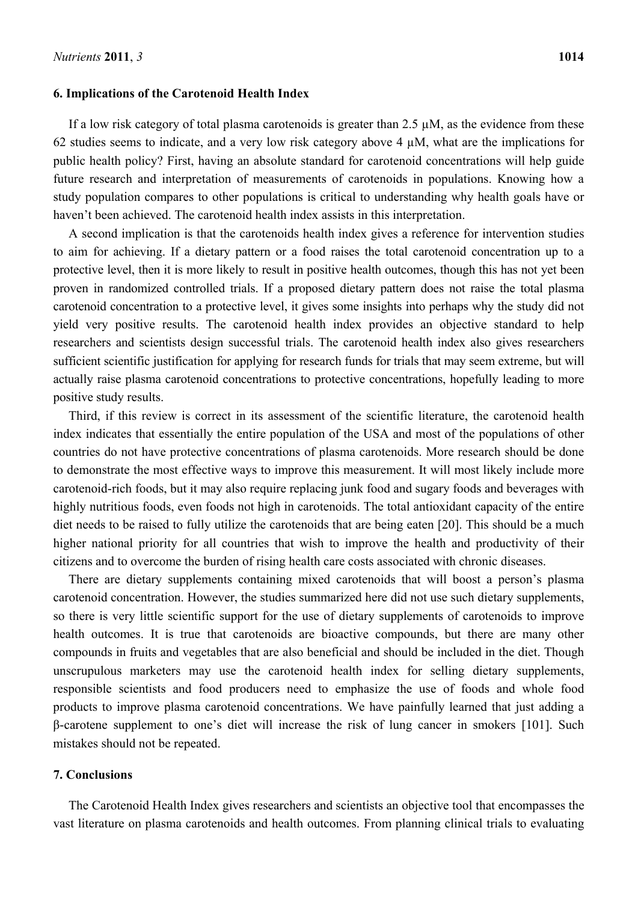#### **6. Implications of the Carotenoid Health Index**

If a low risk category of total plasma carotenoids is greater than 2.5 µM, as the evidence from these 62 studies seems to indicate, and a very low risk category above 4  $\mu$ M, what are the implications for public health policy? First, having an absolute standard for carotenoid concentrations will help guide future research and interpretation of measurements of carotenoids in populations. Knowing how a study population compares to other populations is critical to understanding why health goals have or haven't been achieved. The carotenoid health index assists in this interpretation.

A second implication is that the carotenoids health index gives a reference for intervention studies to aim for achieving. If a dietary pattern or a food raises the total carotenoid concentration up to a protective level, then it is more likely to result in positive health outcomes, though this has not yet been proven in randomized controlled trials. If a proposed dietary pattern does not raise the total plasma carotenoid concentration to a protective level, it gives some insights into perhaps why the study did not yield very positive results. The carotenoid health index provides an objective standard to help researchers and scientists design successful trials. The carotenoid health index also gives researchers sufficient scientific justification for applying for research funds for trials that may seem extreme, but will actually raise plasma carotenoid concentrations to protective concentrations, hopefully leading to more positive study results.

Third, if this review is correct in its assessment of the scientific literature, the carotenoid health index indicates that essentially the entire population of the USA and most of the populations of other countries do not have protective concentrations of plasma carotenoids. More research should be done to demonstrate the most effective ways to improve this measurement. It will most likely include more carotenoid-rich foods, but it may also require replacing junk food and sugary foods and beverages with highly nutritious foods, even foods not high in carotenoids. The total antioxidant capacity of the entire diet needs to be raised to fully utilize the carotenoids that are being eaten [20]. This should be a much higher national priority for all countries that wish to improve the health and productivity of their citizens and to overcome the burden of rising health care costs associated with chronic diseases.

There are dietary supplements containing mixed carotenoids that will boost a person's plasma carotenoid concentration. However, the studies summarized here did not use such dietary supplements, so there is very little scientific support for the use of dietary supplements of carotenoids to improve health outcomes. It is true that carotenoids are bioactive compounds, but there are many other compounds in fruits and vegetables that are also beneficial and should be included in the diet. Though unscrupulous marketers may use the carotenoid health index for selling dietary supplements, responsible scientists and food producers need to emphasize the use of foods and whole food products to improve plasma carotenoid concentrations. We have painfully learned that just adding a β-carotene supplement to one's diet will increase the risk of lung cancer in smokers [101]. Such mistakes should not be repeated.

#### **7. Conclusions**

The Carotenoid Health Index gives researchers and scientists an objective tool that encompasses the vast literature on plasma carotenoids and health outcomes. From planning clinical trials to evaluating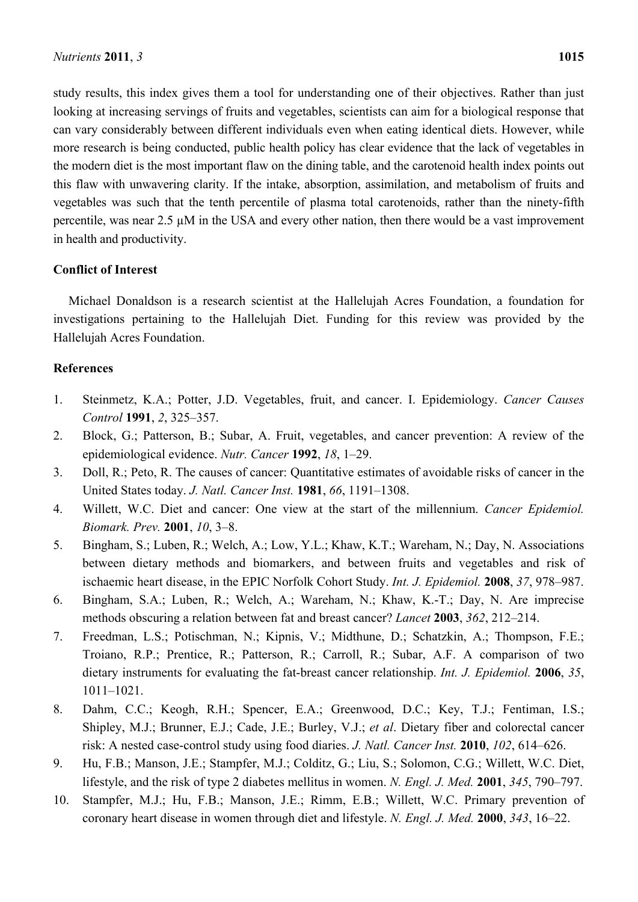study results, this index gives them a tool for understanding one of their objectives. Rather than just looking at increasing servings of fruits and vegetables, scientists can aim for a biological response that can vary considerably between different individuals even when eating identical diets. However, while more research is being conducted, public health policy has clear evidence that the lack of vegetables in the modern diet is the most important flaw on the dining table, and the carotenoid health index points out this flaw with unwavering clarity. If the intake, absorption, assimilation, and metabolism of fruits and vegetables was such that the tenth percentile of plasma total carotenoids, rather than the ninety-fifth percentile, was near 2.5 µM in the USA and every other nation, then there would be a vast improvement in health and productivity.

## **Conflict of Interest**

Michael Donaldson is a research scientist at the Hallelujah Acres Foundation, a foundation for investigations pertaining to the Hallelujah Diet. Funding for this review was provided by the Hallelujah Acres Foundation.

## **References**

- 1. Steinmetz, K.A.; Potter, J.D. Vegetables, fruit, and cancer. I. Epidemiology. *Cancer Causes Control* **1991**, *2*, 325–357.
- 2. Block, G.; Patterson, B.; Subar, A. Fruit, vegetables, and cancer prevention: A review of the epidemiological evidence. *Nutr. Cancer* **1992**, *18*, 1–29.
- 3. Doll, R.; Peto, R. The causes of cancer: Quantitative estimates of avoidable risks of cancer in the United States today. *J. Natl. Cancer Inst.* **1981**, *66*, 1191–1308.
- 4. Willett, W.C. Diet and cancer: One view at the start of the millennium. *Cancer Epidemiol. Biomark. Prev.* **2001**, *10*, 3–8.
- 5. Bingham, S.; Luben, R.; Welch, A.; Low, Y.L.; Khaw, K.T.; Wareham, N.; Day, N. Associations between dietary methods and biomarkers, and between fruits and vegetables and risk of ischaemic heart disease, in the EPIC Norfolk Cohort Study. *Int. J. Epidemiol.* **2008**, *37*, 978–987.
- 6. Bingham, S.A.; Luben, R.; Welch, A.; Wareham, N.; Khaw, K.-T.; Day, N. Are imprecise methods obscuring a relation between fat and breast cancer? *Lancet* **2003**, *362*, 212–214.
- 7. Freedman, L.S.; Potischman, N.; Kipnis, V.; Midthune, D.; Schatzkin, A.; Thompson, F.E.; Troiano, R.P.; Prentice, R.; Patterson, R.; Carroll, R.; Subar, A.F. A comparison of two dietary instruments for evaluating the fat-breast cancer relationship. *Int. J. Epidemiol.* **2006**, *35*, 1011–1021.
- 8. Dahm, C.C.; Keogh, R.H.; Spencer, E.A.; Greenwood, D.C.; Key, T.J.; Fentiman, I.S.; Shipley, M.J.; Brunner, E.J.; Cade, J.E.; Burley, V.J.; *et al*. Dietary fiber and colorectal cancer risk: A nested case-control study using food diaries. *J. Natl. Cancer Inst.* **2010**, *102*, 614–626.
- 9. Hu, F.B.; Manson, J.E.; Stampfer, M.J.; Colditz, G.; Liu, S.; Solomon, C.G.; Willett, W.C. Diet, lifestyle, and the risk of type 2 diabetes mellitus in women. *N. Engl. J. Med.* **2001**, *345*, 790–797.
- 10. Stampfer, M.J.; Hu, F.B.; Manson, J.E.; Rimm, E.B.; Willett, W.C. Primary prevention of coronary heart disease in women through diet and lifestyle. *N. Engl. J. Med.* **2000**, *343*, 16–22.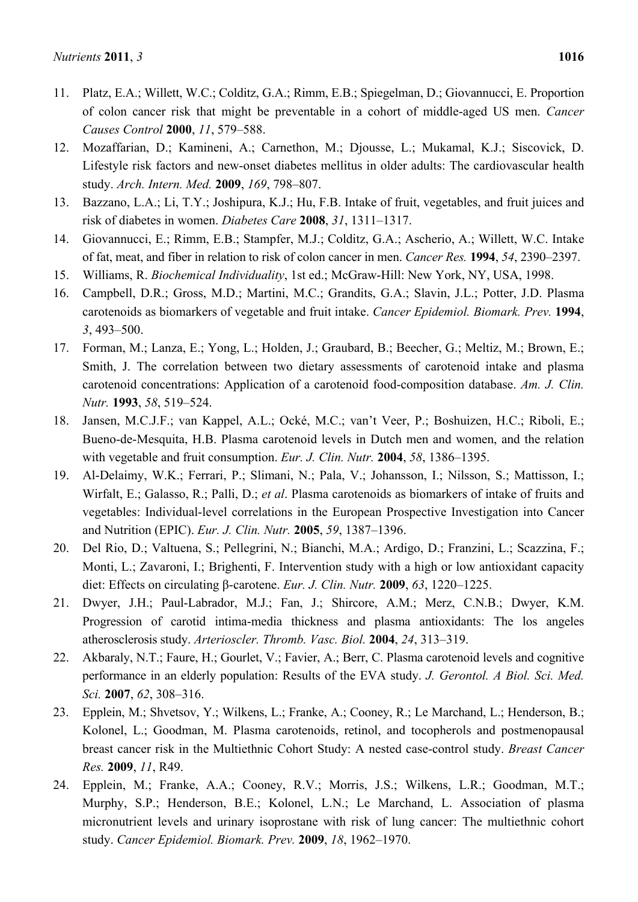- 11. Platz, E.A.; Willett, W.C.; Colditz, G.A.; Rimm, E.B.; Spiegelman, D.; Giovannucci, E. Proportion of colon cancer risk that might be preventable in a cohort of middle-aged US men. *Cancer Causes Control* **2000**, *11*, 579–588.
- 12. Mozaffarian, D.; Kamineni, A.; Carnethon, M.; Djousse, L.; Mukamal, K.J.; Siscovick, D. Lifestyle risk factors and new-onset diabetes mellitus in older adults: The cardiovascular health study. *Arch. Intern. Med.* **2009**, *169*, 798–807.
- 13. Bazzano, L.A.; Li, T.Y.; Joshipura, K.J.; Hu, F.B. Intake of fruit, vegetables, and fruit juices and risk of diabetes in women. *Diabetes Care* **2008**, *31*, 1311–1317.
- 14. Giovannucci, E.; Rimm, E.B.; Stampfer, M.J.; Colditz, G.A.; Ascherio, A.; Willett, W.C. Intake of fat, meat, and fiber in relation to risk of colon cancer in men. *Cancer Res.* **1994**, *54*, 2390–2397.
- 15. Williams, R. *Biochemical Individuality*, 1st ed.; McGraw-Hill: New York, NY, USA, 1998.
- 16. Campbell, D.R.; Gross, M.D.; Martini, M.C.; Grandits, G.A.; Slavin, J.L.; Potter, J.D. Plasma carotenoids as biomarkers of vegetable and fruit intake. *Cancer Epidemiol. Biomark. Prev.* **1994**, *3*, 493–500.
- 17. Forman, M.; Lanza, E.; Yong, L.; Holden, J.; Graubard, B.; Beecher, G.; Meltiz, M.; Brown, E.; Smith, J. The correlation between two dietary assessments of carotenoid intake and plasma carotenoid concentrations: Application of a carotenoid food-composition database. *Am. J. Clin. Nutr.* **1993**, *58*, 519–524.
- 18. Jansen, M.C.J.F.; van Kappel, A.L.; Ocké, M.C.; van't Veer, P.; Boshuizen, H.C.; Riboli, E.; Bueno-de-Mesquita, H.B. Plasma carotenoid levels in Dutch men and women, and the relation with vegetable and fruit consumption. *Eur. J. Clin. Nutr.* **2004**, *58*, 1386–1395.
- 19. Al-Delaimy, W.K.; Ferrari, P.; Slimani, N.; Pala, V.; Johansson, I.; Nilsson, S.; Mattisson, I.; Wirfalt, E.; Galasso, R.; Palli, D.; *et al*. Plasma carotenoids as biomarkers of intake of fruits and vegetables: Individual-level correlations in the European Prospective Investigation into Cancer and Nutrition (EPIC). *Eur. J. Clin. Nutr.* **2005**, *59*, 1387–1396.
- 20. Del Rio, D.; Valtuena, S.; Pellegrini, N.; Bianchi, M.A.; Ardigo, D.; Franzini, L.; Scazzina, F.; Monti, L.; Zavaroni, I.; Brighenti, F. Intervention study with a high or low antioxidant capacity diet: Effects on circulating β-carotene. *Eur. J. Clin. Nutr.* **2009**, *63*, 1220–1225.
- 21. Dwyer, J.H.; Paul-Labrador, M.J.; Fan, J.; Shircore, A.M.; Merz, C.N.B.; Dwyer, K.M. Progression of carotid intima-media thickness and plasma antioxidants: The los angeles atherosclerosis study. *Arterioscler. Thromb. Vasc. Biol.* **2004**, *24*, 313–319.
- 22. Akbaraly, N.T.; Faure, H.; Gourlet, V.; Favier, A.; Berr, C. Plasma carotenoid levels and cognitive performance in an elderly population: Results of the EVA study. *J. Gerontol. A Biol. Sci. Med. Sci.* **2007**, *62*, 308–316.
- 23. Epplein, M.; Shvetsov, Y.; Wilkens, L.; Franke, A.; Cooney, R.; Le Marchand, L.; Henderson, B.; Kolonel, L.; Goodman, M. Plasma carotenoids, retinol, and tocopherols and postmenopausal breast cancer risk in the Multiethnic Cohort Study: A nested case-control study. *Breast Cancer Res.* **2009**, *11*, R49.
- 24. Epplein, M.; Franke, A.A.; Cooney, R.V.; Morris, J.S.; Wilkens, L.R.; Goodman, M.T.; Murphy, S.P.; Henderson, B.E.; Kolonel, L.N.; Le Marchand, L. Association of plasma micronutrient levels and urinary isoprostane with risk of lung cancer: The multiethnic cohort study. *Cancer Epidemiol. Biomark. Prev.* **2009**, *18*, 1962–1970.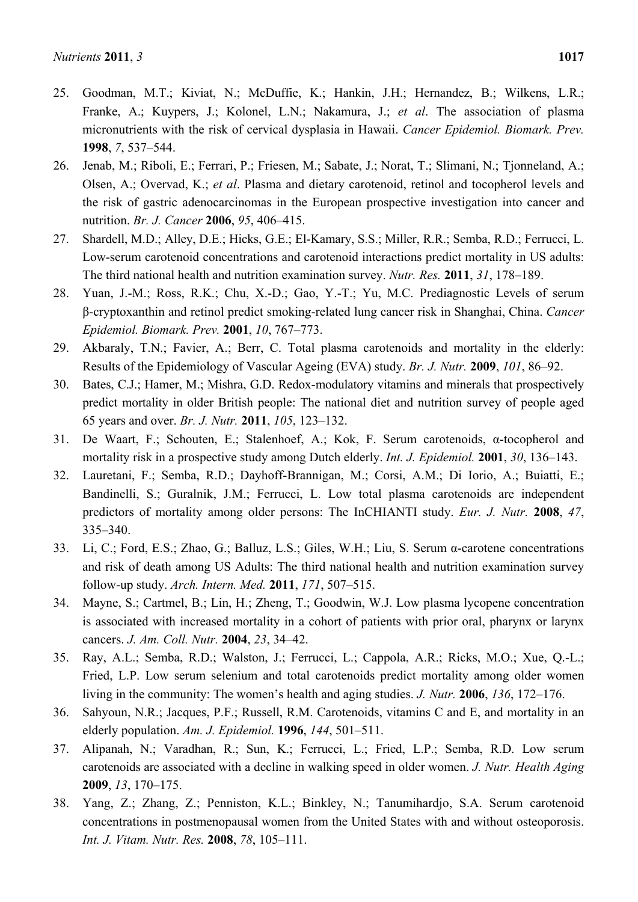- 25. Goodman, M.T.; Kiviat, N.; McDuffie, K.; Hankin, J.H.; Hernandez, B.; Wilkens, L.R.; Franke, A.; Kuypers, J.; Kolonel, L.N.; Nakamura, J.; *et al*. The association of plasma micronutrients with the risk of cervical dysplasia in Hawaii. *Cancer Epidemiol. Biomark. Prev.* **1998**, *7*, 537–544.
- 26. Jenab, M.; Riboli, E.; Ferrari, P.; Friesen, M.; Sabate, J.; Norat, T.; Slimani, N.; Tjonneland, A.; Olsen, A.; Overvad, K.; *et al*. Plasma and dietary carotenoid, retinol and tocopherol levels and the risk of gastric adenocarcinomas in the European prospective investigation into cancer and nutrition. *Br. J. Cancer* **2006**, *95*, 406–415.
- 27. Shardell, M.D.; Alley, D.E.; Hicks, G.E.; El-Kamary, S.S.; Miller, R.R.; Semba, R.D.; Ferrucci, L. Low-serum carotenoid concentrations and carotenoid interactions predict mortality in US adults: The third national health and nutrition examination survey. *Nutr. Res.* **2011**, *31*, 178–189.
- 28. Yuan, J.-M.; Ross, R.K.; Chu, X.-D.; Gao, Y.-T.; Yu, M.C. Prediagnostic Levels of serum β-cryptoxanthin and retinol predict smoking-related lung cancer risk in Shanghai, China. *Cancer Epidemiol. Biomark. Prev.* **2001**, *10*, 767–773.
- 29. Akbaraly, T.N.; Favier, A.; Berr, C. Total plasma carotenoids and mortality in the elderly: Results of the Epidemiology of Vascular Ageing (EVA) study. *Br. J. Nutr.* **2009**, *101*, 86–92.
- 30. Bates, C.J.; Hamer, M.; Mishra, G.D. Redox-modulatory vitamins and minerals that prospectively predict mortality in older British people: The national diet and nutrition survey of people aged 65 years and over. *Br. J. Nutr.* **2011**, *105*, 123–132.
- 31. De Waart, F.; Schouten, E.; Stalenhoef, A.; Kok, F. Serum carotenoids, α-tocopherol and mortality risk in a prospective study among Dutch elderly. *Int. J. Epidemiol.* **2001**, *30*, 136–143.
- 32. Lauretani, F.; Semba, R.D.; Dayhoff-Brannigan, M.; Corsi, A.M.; Di Iorio, A.; Buiatti, E.; Bandinelli, S.; Guralnik, J.M.; Ferrucci, L. Low total plasma carotenoids are independent predictors of mortality among older persons: The InCHIANTI study. *Eur. J. Nutr.* **2008**, *47*, 335–340.
- 33. Li, C.; Ford, E.S.; Zhao, G.; Balluz, L.S.; Giles, W.H.; Liu, S. Serum α-carotene concentrations and risk of death among US Adults: The third national health and nutrition examination survey follow-up study. *Arch. Intern. Med.* **2011**, *171*, 507–515.
- 34. Mayne, S.; Cartmel, B.; Lin, H.; Zheng, T.; Goodwin, W.J. Low plasma lycopene concentration is associated with increased mortality in a cohort of patients with prior oral, pharynx or larynx cancers. *J. Am. Coll. Nutr.* **2004**, *23*, 34–42.
- 35. Ray, A.L.; Semba, R.D.; Walston, J.; Ferrucci, L.; Cappola, A.R.; Ricks, M.O.; Xue, Q.-L.; Fried, L.P. Low serum selenium and total carotenoids predict mortality among older women living in the community: The women's health and aging studies. *J. Nutr.* **2006**, *136*, 172–176.
- 36. Sahyoun, N.R.; Jacques, P.F.; Russell, R.M. Carotenoids, vitamins C and E, and mortality in an elderly population. *Am. J. Epidemiol.* **1996**, *144*, 501–511.
- 37. Alipanah, N.; Varadhan, R.; Sun, K.; Ferrucci, L.; Fried, L.P.; Semba, R.D. Low serum carotenoids are associated with a decline in walking speed in older women. *J. Nutr. Health Aging* **2009**, *13*, 170–175.
- 38. Yang, Z.; Zhang, Z.; Penniston, K.L.; Binkley, N.; Tanumihardjo, S.A. Serum carotenoid concentrations in postmenopausal women from the United States with and without osteoporosis. *Int. J. Vitam. Nutr. Res.* **2008**, *78*, 105–111.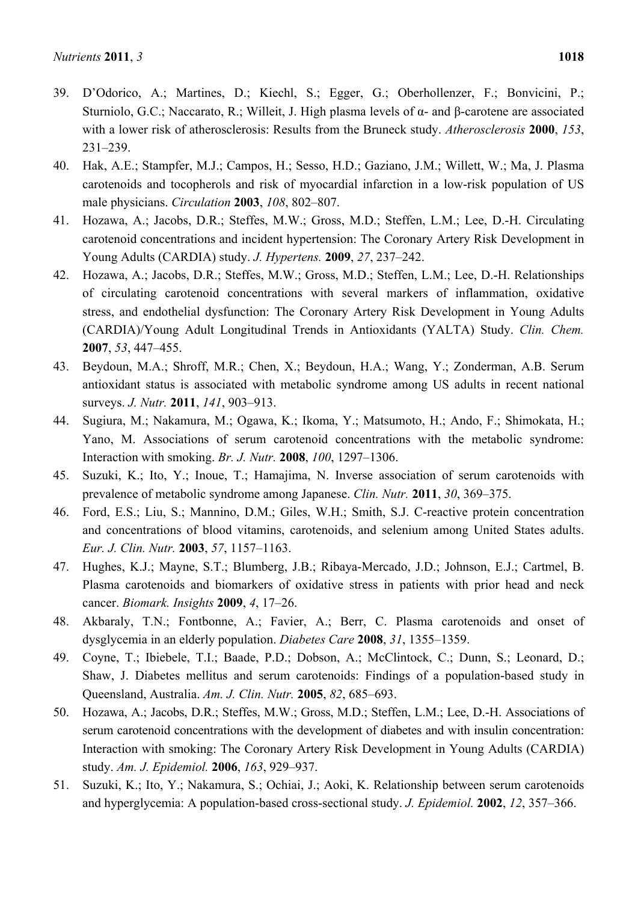- 39. D'Odorico, A.; Martines, D.; Kiechl, S.; Egger, G.; Oberhollenzer, F.; Bonvicini, P.; Sturniolo, G.C.; Naccarato, R.; Willeit, J. High plasma levels of α- and β-carotene are associated with a lower risk of atherosclerosis: Results from the Bruneck study. *Atherosclerosis* **2000**, *153*, 231–239.
- 40. Hak, A.E.; Stampfer, M.J.; Campos, H.; Sesso, H.D.; Gaziano, J.M.; Willett, W.; Ma, J. Plasma carotenoids and tocopherols and risk of myocardial infarction in a low-risk population of US male physicians. *Circulation* **2003**, *108*, 802–807.
- 41. Hozawa, A.; Jacobs, D.R.; Steffes, M.W.; Gross, M.D.; Steffen, L.M.; Lee, D.-H. Circulating carotenoid concentrations and incident hypertension: The Coronary Artery Risk Development in Young Adults (CARDIA) study. *J. Hypertens.* **2009**, *27*, 237–242.
- 42. Hozawa, A.; Jacobs, D.R.; Steffes, M.W.; Gross, M.D.; Steffen, L.M.; Lee, D.-H. Relationships of circulating carotenoid concentrations with several markers of inflammation, oxidative stress, and endothelial dysfunction: The Coronary Artery Risk Development in Young Adults (CARDIA)/Young Adult Longitudinal Trends in Antioxidants (YALTA) Study. *Clin. Chem.* **2007**, *53*, 447–455.
- 43. Beydoun, M.A.; Shroff, M.R.; Chen, X.; Beydoun, H.A.; Wang, Y.; Zonderman, A.B. Serum antioxidant status is associated with metabolic syndrome among US adults in recent national surveys. *J. Nutr.* **2011**, *141*, 903–913.
- 44. Sugiura, M.; Nakamura, M.; Ogawa, K.; Ikoma, Y.; Matsumoto, H.; Ando, F.; Shimokata, H.; Yano, M. Associations of serum carotenoid concentrations with the metabolic syndrome: Interaction with smoking. *Br. J. Nutr.* **2008**, *100*, 1297–1306.
- 45. Suzuki, K.; Ito, Y.; Inoue, T.; Hamajima, N. Inverse association of serum carotenoids with prevalence of metabolic syndrome among Japanese. *Clin. Nutr.* **2011**, *30*, 369–375.
- 46. Ford, E.S.; Liu, S.; Mannino, D.M.; Giles, W.H.; Smith, S.J. C-reactive protein concentration and concentrations of blood vitamins, carotenoids, and selenium among United States adults. *Eur. J. Clin. Nutr.* **2003**, *57*, 1157–1163.
- 47. Hughes, K.J.; Mayne, S.T.; Blumberg, J.B.; Ribaya-Mercado, J.D.; Johnson, E.J.; Cartmel, B. Plasma carotenoids and biomarkers of oxidative stress in patients with prior head and neck cancer. *Biomark. Insights* **2009**, *4*, 17–26.
- 48. Akbaraly, T.N.; Fontbonne, A.; Favier, A.; Berr, C. Plasma carotenoids and onset of dysglycemia in an elderly population. *Diabetes Care* **2008**, *31*, 1355–1359.
- 49. Coyne, T.; Ibiebele, T.I.; Baade, P.D.; Dobson, A.; McClintock, C.; Dunn, S.; Leonard, D.; Shaw, J. Diabetes mellitus and serum carotenoids: Findings of a population-based study in Queensland, Australia. *Am. J. Clin. Nutr.* **2005**, *82*, 685–693.
- 50. Hozawa, A.; Jacobs, D.R.; Steffes, M.W.; Gross, M.D.; Steffen, L.M.; Lee, D.-H. Associations of serum carotenoid concentrations with the development of diabetes and with insulin concentration: Interaction with smoking: The Coronary Artery Risk Development in Young Adults (CARDIA) study. *Am. J. Epidemiol.* **2006**, *163*, 929–937.
- 51. Suzuki, K.; Ito, Y.; Nakamura, S.; Ochiai, J.; Aoki, K. Relationship between serum carotenoids and hyperglycemia: A population-based cross-sectional study. *J. Epidemiol.* **2002**, *12*, 357–366.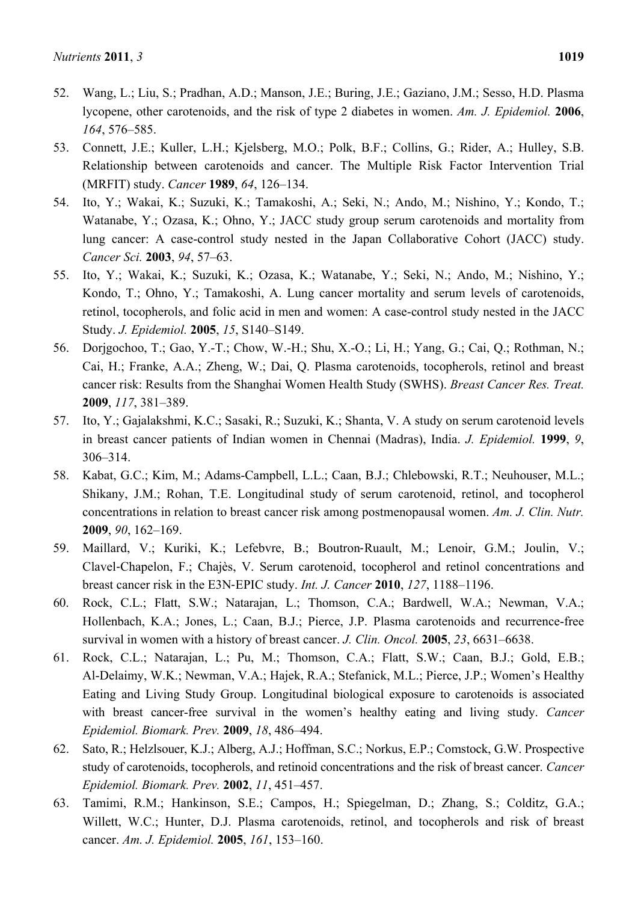- 52. Wang, L.; Liu, S.; Pradhan, A.D.; Manson, J.E.; Buring, J.E.; Gaziano, J.M.; Sesso, H.D. Plasma lycopene, other carotenoids, and the risk of type 2 diabetes in women. *Am. J. Epidemiol.* **2006**, *164*, 576–585.
- 53. Connett, J.E.; Kuller, L.H.; Kjelsberg, M.O.; Polk, B.F.; Collins, G.; Rider, A.; Hulley, S.B. Relationship between carotenoids and cancer. The Multiple Risk Factor Intervention Trial (MRFIT) study. *Cancer* **1989**, *64*, 126–134.
- 54. Ito, Y.; Wakai, K.; Suzuki, K.; Tamakoshi, A.; Seki, N.; Ando, M.; Nishino, Y.; Kondo, T.; Watanabe, Y.; Ozasa, K.; Ohno, Y.; JACC study group serum carotenoids and mortality from lung cancer: A case-control study nested in the Japan Collaborative Cohort (JACC) study. *Cancer Sci.* **2003**, *94*, 57–63.
- 55. Ito, Y.; Wakai, K.; Suzuki, K.; Ozasa, K.; Watanabe, Y.; Seki, N.; Ando, M.; Nishino, Y.; Kondo, T.; Ohno, Y.; Tamakoshi, A. Lung cancer mortality and serum levels of carotenoids, retinol, tocopherols, and folic acid in men and women: A case-control study nested in the JACC Study. *J. Epidemiol.* **2005**, *15*, S140–S149.
- 56. Dorjgochoo, T.; Gao, Y.-T.; Chow, W.-H.; Shu, X.-O.; Li, H.; Yang, G.; Cai, Q.; Rothman, N.; Cai, H.; Franke, A.A.; Zheng, W.; Dai, Q. Plasma carotenoids, tocopherols, retinol and breast cancer risk: Results from the Shanghai Women Health Study (SWHS). *Breast Cancer Res. Treat.* **2009**, *117*, 381–389.
- 57. Ito, Y.; Gajalakshmi, K.C.; Sasaki, R.; Suzuki, K.; Shanta, V. A study on serum carotenoid levels in breast cancer patients of Indian women in Chennai (Madras), India. *J. Epidemiol.* **1999**, *9*, 306–314.
- 58. Kabat, G.C.; Kim, M.; Adams-Campbell, L.L.; Caan, B.J.; Chlebowski, R.T.; Neuhouser, M.L.; Shikany, J.M.; Rohan, T.E. Longitudinal study of serum carotenoid, retinol, and tocopherol concentrations in relation to breast cancer risk among postmenopausal women. *Am. J. Clin. Nutr.* **2009**, *90*, 162–169.
- 59. Maillard, V.; Kuriki, K.; Lefebvre, B.; Boutron‐Ruault, M.; Lenoir, G.M.; Joulin, V.; Clavel‐Chapelon, F.; Chajès, V. Serum carotenoid, tocopherol and retinol concentrations and breast cancer risk in the E3N‐EPIC study. *Int. J. Cancer* **2010**, *127*, 1188–1196.
- 60. Rock, C.L.; Flatt, S.W.; Natarajan, L.; Thomson, C.A.; Bardwell, W.A.; Newman, V.A.; Hollenbach, K.A.; Jones, L.; Caan, B.J.; Pierce, J.P. Plasma carotenoids and recurrence-free survival in women with a history of breast cancer. *J. Clin. Oncol.* **2005**, *23*, 6631–6638.
- 61. Rock, C.L.; Natarajan, L.; Pu, M.; Thomson, C.A.; Flatt, S.W.; Caan, B.J.; Gold, E.B.; Al-Delaimy, W.K.; Newman, V.A.; Hajek, R.A.; Stefanick, M.L.; Pierce, J.P.; Women's Healthy Eating and Living Study Group. Longitudinal biological exposure to carotenoids is associated with breast cancer-free survival in the women's healthy eating and living study. *Cancer Epidemiol. Biomark. Prev.* **2009**, *18*, 486–494.
- 62. Sato, R.; Helzlsouer, K.J.; Alberg, A.J.; Hoffman, S.C.; Norkus, E.P.; Comstock, G.W. Prospective study of carotenoids, tocopherols, and retinoid concentrations and the risk of breast cancer. *Cancer Epidemiol. Biomark. Prev.* **2002**, *11*, 451–457.
- 63. Tamimi, R.M.; Hankinson, S.E.; Campos, H.; Spiegelman, D.; Zhang, S.; Colditz, G.A.; Willett, W.C.; Hunter, D.J. Plasma carotenoids, retinol, and tocopherols and risk of breast cancer. *Am. J. Epidemiol.* **2005**, *161*, 153–160.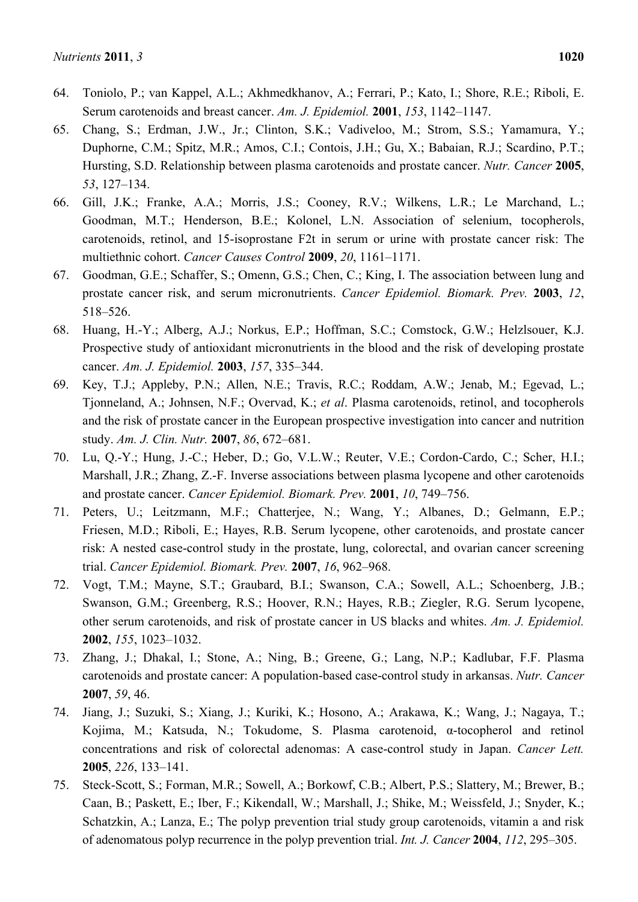- 64. Toniolo, P.; van Kappel, A.L.; Akhmedkhanov, A.; Ferrari, P.; Kato, I.; Shore, R.E.; Riboli, E. Serum carotenoids and breast cancer. *Am. J. Epidemiol.* **2001**, *153*, 1142–1147.
- 65. Chang, S.; Erdman, J.W., Jr.; Clinton, S.K.; Vadiveloo, M.; Strom, S.S.; Yamamura, Y.; Duphorne, C.M.; Spitz, M.R.; Amos, C.I.; Contois, J.H.; Gu, X.; Babaian, R.J.; Scardino, P.T.; Hursting, S.D. Relationship between plasma carotenoids and prostate cancer. *Nutr. Cancer* **2005**, *53*, 127–134.
- 66. Gill, J.K.; Franke, A.A.; Morris, J.S.; Cooney, R.V.; Wilkens, L.R.; Le Marchand, L.; Goodman, M.T.; Henderson, B.E.; Kolonel, L.N. Association of selenium, tocopherols, carotenoids, retinol, and 15-isoprostane F2t in serum or urine with prostate cancer risk: The multiethnic cohort. *Cancer Causes Control* **2009**, *20*, 1161–1171.
- 67. Goodman, G.E.; Schaffer, S.; Omenn, G.S.; Chen, C.; King, I. The association between lung and prostate cancer risk, and serum micronutrients. *Cancer Epidemiol. Biomark. Prev.* **2003**, *12*, 518–526.
- 68. Huang, H.-Y.; Alberg, A.J.; Norkus, E.P.; Hoffman, S.C.; Comstock, G.W.; Helzlsouer, K.J. Prospective study of antioxidant micronutrients in the blood and the risk of developing prostate cancer. *Am. J. Epidemiol.* **2003**, *157*, 335–344.
- 69. Key, T.J.; Appleby, P.N.; Allen, N.E.; Travis, R.C.; Roddam, A.W.; Jenab, M.; Egevad, L.; Tjonneland, A.; Johnsen, N.F.; Overvad, K.; *et al*. Plasma carotenoids, retinol, and tocopherols and the risk of prostate cancer in the European prospective investigation into cancer and nutrition study. *Am. J. Clin. Nutr.* **2007**, *86*, 672–681.
- 70. Lu, Q.-Y.; Hung, J.-C.; Heber, D.; Go, V.L.W.; Reuter, V.E.; Cordon-Cardo, C.; Scher, H.I.; Marshall, J.R.; Zhang, Z.-F. Inverse associations between plasma lycopene and other carotenoids and prostate cancer. *Cancer Epidemiol. Biomark. Prev.* **2001**, *10*, 749–756.
- 71. Peters, U.; Leitzmann, M.F.; Chatterjee, N.; Wang, Y.; Albanes, D.; Gelmann, E.P.; Friesen, M.D.; Riboli, E.; Hayes, R.B. Serum lycopene, other carotenoids, and prostate cancer risk: A nested case-control study in the prostate, lung, colorectal, and ovarian cancer screening trial. *Cancer Epidemiol. Biomark. Prev.* **2007**, *16*, 962–968.
- 72. Vogt, T.M.; Mayne, S.T.; Graubard, B.I.; Swanson, C.A.; Sowell, A.L.; Schoenberg, J.B.; Swanson, G.M.; Greenberg, R.S.; Hoover, R.N.; Hayes, R.B.; Ziegler, R.G. Serum lycopene, other serum carotenoids, and risk of prostate cancer in US blacks and whites. *Am. J. Epidemiol.* **2002**, *155*, 1023–1032.
- 73. Zhang, J.; Dhakal, I.; Stone, A.; Ning, B.; Greene, G.; Lang, N.P.; Kadlubar, F.F. Plasma carotenoids and prostate cancer: A population-based case-control study in arkansas. *Nutr. Cancer* **2007**, *59*, 46.
- 74. Jiang, J.; Suzuki, S.; Xiang, J.; Kuriki, K.; Hosono, A.; Arakawa, K.; Wang, J.; Nagaya, T.; Kojima, M.; Katsuda, N.; Tokudome, S. Plasma carotenoid, α-tocopherol and retinol concentrations and risk of colorectal adenomas: A case-control study in Japan. *Cancer Lett.* **2005**, *226*, 133–141.
- 75. Steck-Scott, S.; Forman, M.R.; Sowell, A.; Borkowf, C.B.; Albert, P.S.; Slattery, M.; Brewer, B.; Caan, B.; Paskett, E.; Iber, F.; Kikendall, W.; Marshall, J.; Shike, M.; Weissfeld, J.; Snyder, K.; Schatzkin, A.; Lanza, E.; The polyp prevention trial study group carotenoids, vitamin a and risk of adenomatous polyp recurrence in the polyp prevention trial. *Int. J. Cancer* **2004**, *112*, 295–305.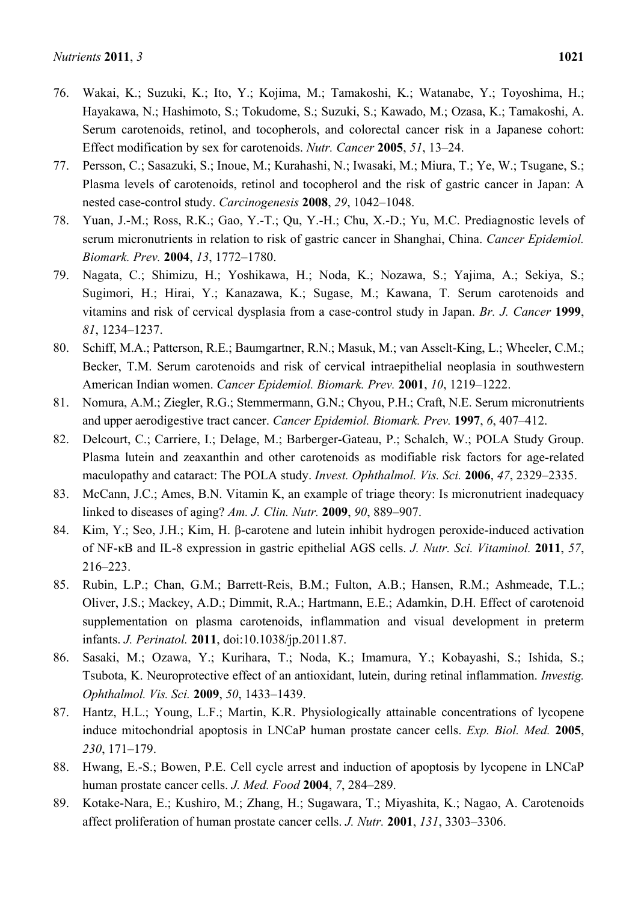- 76. Wakai, K.; Suzuki, K.; Ito, Y.; Kojima, M.; Tamakoshi, K.; Watanabe, Y.; Toyoshima, H.; Hayakawa, N.; Hashimoto, S.; Tokudome, S.; Suzuki, S.; Kawado, M.; Ozasa, K.; Tamakoshi, A. Serum carotenoids, retinol, and tocopherols, and colorectal cancer risk in a Japanese cohort: Effect modification by sex for carotenoids. *Nutr. Cancer* **2005**, *51*, 13–24.
- 77. Persson, C.; Sasazuki, S.; Inoue, M.; Kurahashi, N.; Iwasaki, M.; Miura, T.; Ye, W.; Tsugane, S.; Plasma levels of carotenoids, retinol and tocopherol and the risk of gastric cancer in Japan: A nested case-control study. *Carcinogenesis* **2008**, *29*, 1042–1048.
- 78. Yuan, J.-M.; Ross, R.K.; Gao, Y.-T.; Qu, Y.-H.; Chu, X.-D.; Yu, M.C. Prediagnostic levels of serum micronutrients in relation to risk of gastric cancer in Shanghai, China. *Cancer Epidemiol. Biomark. Prev.* **2004**, *13*, 1772–1780.
- 79. Nagata, C.; Shimizu, H.; Yoshikawa, H.; Noda, K.; Nozawa, S.; Yajima, A.; Sekiya, S.; Sugimori, H.; Hirai, Y.; Kanazawa, K.; Sugase, M.; Kawana, T. Serum carotenoids and vitamins and risk of cervical dysplasia from a case-control study in Japan. *Br. J. Cancer* **1999**, *81*, 1234–1237.
- 80. Schiff, M.A.; Patterson, R.E.; Baumgartner, R.N.; Masuk, M.; van Asselt-King, L.; Wheeler, C.M.; Becker, T.M. Serum carotenoids and risk of cervical intraepithelial neoplasia in southwestern American Indian women. *Cancer Epidemiol. Biomark. Prev.* **2001**, *10*, 1219–1222.
- 81. Nomura, A.M.; Ziegler, R.G.; Stemmermann, G.N.; Chyou, P.H.; Craft, N.E. Serum micronutrients and upper aerodigestive tract cancer. *Cancer Epidemiol. Biomark. Prev.* **1997**, *6*, 407–412.
- 82. Delcourt, C.; Carriere, I.; Delage, M.; Barberger-Gateau, P.; Schalch, W.; POLA Study Group. Plasma lutein and zeaxanthin and other carotenoids as modifiable risk factors for age-related maculopathy and cataract: The POLA study. *Invest. Ophthalmol. Vis. Sci.* **2006**, *47*, 2329–2335.
- 83. McCann, J.C.; Ames, B.N. Vitamin K, an example of triage theory: Is micronutrient inadequacy linked to diseases of aging? *Am. J. Clin. Nutr.* **2009**, *90*, 889–907.
- 84. Kim, Y.; Seo, J.H.; Kim, H. β-carotene and lutein inhibit hydrogen peroxide-induced activation of NF-κB and IL-8 expression in gastric epithelial AGS cells. *J. Nutr. Sci. Vitaminol.* **2011**, *57*, 216–223.
- 85. Rubin, L.P.; Chan, G.M.; Barrett-Reis, B.M.; Fulton, A.B.; Hansen, R.M.; Ashmeade, T.L.; Oliver, J.S.; Mackey, A.D.; Dimmit, R.A.; Hartmann, E.E.; Adamkin, D.H. Effect of carotenoid supplementation on plasma carotenoids, inflammation and visual development in preterm infants. *J. Perinatol.* **2011**, doi:10.1038/jp.2011.87.
- 86. Sasaki, M.; Ozawa, Y.; Kurihara, T.; Noda, K.; Imamura, Y.; Kobayashi, S.; Ishida, S.; Tsubota, K. Neuroprotective effect of an antioxidant, lutein, during retinal inflammation. *Investig. Ophthalmol. Vis. Sci.* **2009**, *50*, 1433–1439.
- 87. Hantz, H.L.; Young, L.F.; Martin, K.R. Physiologically attainable concentrations of lycopene induce mitochondrial apoptosis in LNCaP human prostate cancer cells. *Exp. Biol. Med.* **2005**, *230*, 171–179.
- 88. Hwang, E.-S.; Bowen, P.E. Cell cycle arrest and induction of apoptosis by lycopene in LNCaP human prostate cancer cells. *J. Med. Food* **2004**, *7*, 284–289.
- 89. Kotake-Nara, E.; Kushiro, M.; Zhang, H.; Sugawara, T.; Miyashita, K.; Nagao, A. Carotenoids affect proliferation of human prostate cancer cells. *J. Nutr.* **2001**, *131*, 3303–3306.